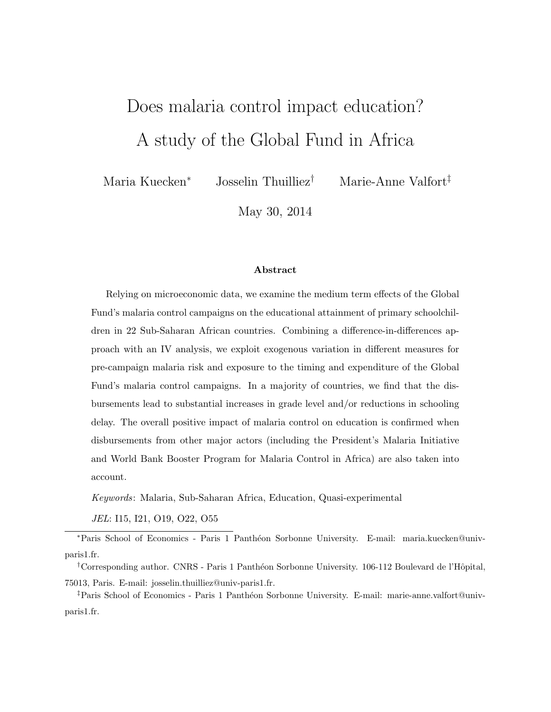# <span id="page-0-0"></span>Does malaria control impact education? A study of the Global Fund in Africa

Maria Kuecken<sup>∗</sup> Josselin Thuilliez† Marie-Anne Valfort‡

May 30, 2014

#### Abstract

Relying on microeconomic data, we examine the medium term effects of the Global Fund's malaria control campaigns on the educational attainment of primary schoolchildren in 22 Sub-Saharan African countries. Combining a difference-in-differences approach with an IV analysis, we exploit exogenous variation in different measures for pre-campaign malaria risk and exposure to the timing and expenditure of the Global Fund's malaria control campaigns. In a majority of countries, we find that the disbursements lead to substantial increases in grade level and/or reductions in schooling delay. The overall positive impact of malaria control on education is confirmed when disbursements from other major actors (including the President's Malaria Initiative and World Bank Booster Program for Malaria Control in Africa) are also taken into account.

Keywords: Malaria, Sub-Saharan Africa, Education, Quasi-experimental

JEL: I15, I21, O19, O22, O55

<sup>∗</sup>Paris School of Economics - Paris 1 Panth´eon Sorbonne University. E-mail: maria.kuecken@univparis1.fr.

<sup>†</sup>Corresponding author. CNRS - Paris 1 Panthéon Sorbonne University. 106-112 Boulevard de l'Hôpital, 75013, Paris. E-mail: josselin.thuilliez@univ-paris1.fr.

<sup>‡</sup>Paris School of Economics - Paris 1 Panthéon Sorbonne University. E-mail: marie-anne.valfort@univparis1.fr.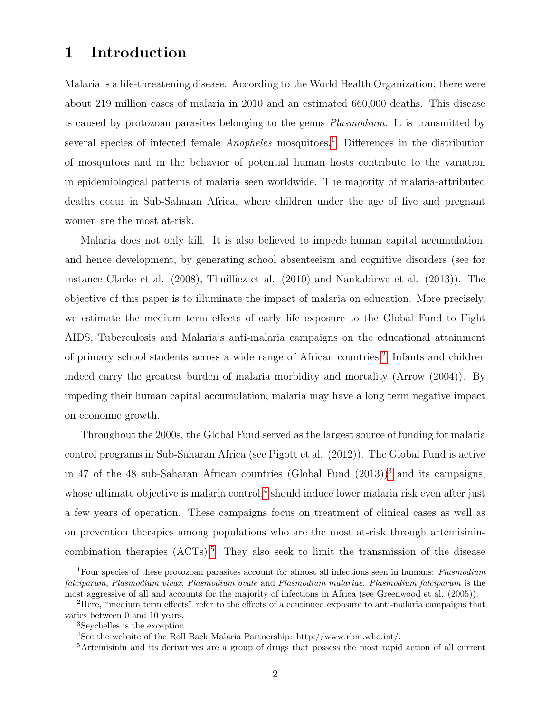# 1 Introduction

Malaria is a life-threatening disease. According to the World Health Organization, there were about 219 million cases of malaria in 2010 and an estimated 660,000 deaths. This disease is caused by protozoan parasites belonging to the genus Plasmodium. It is transmitted by several species of infected female  $Anopheles$  mosquitoes.<sup>[1](#page-0-0)</sup> Differences in the distribution of mosquitoes and in the behavior of potential human hosts contribute to the variation in epidemiological patterns of malaria seen worldwide. The majority of malaria-attributed deaths occur in Sub-Saharan Africa, where children under the age of five and pregnant women are the most at-risk.

Malaria does not only kill. It is also believed to impede human capital accumulation, and hence development, by generating school absenteeism and cognitive disorders (see for instance Clarke et al. (2008), Thuilliez et al. (2010) and Nankabirwa et al. (2013)). The objective of this paper is to illuminate the impact of malaria on education. More precisely, we estimate the medium term effects of early life exposure to the Global Fund to Fight AIDS, Tuberculosis and Malaria's anti-malaria campaigns on the educational attainment of primary school students across a wide range of African countries.<sup>[2](#page-0-0)</sup> Infants and children indeed carry the greatest burden of malaria morbidity and mortality (Arrow (2004)). By impeding their human capital accumulation, malaria may have a long term negative impact on economic growth.

Throughout the 2000s, the Global Fund served as the largest source of funding for malaria control programs in Sub-Saharan Africa (see Pigott et al. (2012)). The Global Fund is active in 47 of the 48 sub-Saharan African countries (Global Fund  $(2013)^3$  $(2013)^3$  $(2013)^3$  and its campaigns, whose ultimate objective is malaria control,<sup>[4](#page-0-0)</sup> should induce lower malaria risk even after just a few years of operation. These campaigns focus on treatment of clinical cases as well as on prevention therapies among populations who are the most at-risk through artemisinincombination therapies  $(ACTs).<sup>5</sup>$  $(ACTs).<sup>5</sup>$  $(ACTs).<sup>5</sup>$  They also seek to limit the transmission of the disease

<sup>&</sup>lt;sup>1</sup>Four species of these protozoan parasites account for almost all infections seen in humans: *Plasmodium* falciparum, Plasmodium vivax, Plasmodium ovale and Plasmodium malariae. Plasmodium falciparum is the most aggressive of all and accounts for the majority of infections in Africa (see Greenwood et al. (2005)).

<sup>2</sup>Here, "medium term effects" refer to the effects of a continued exposure to anti-malaria campaigns that varies between 0 and 10 years.

<sup>3</sup>Seychelles is the exception.

<sup>4</sup>See the website of the Roll Back Malaria Partnership: http://www.rbm.who.int/.

<sup>5</sup>Artemisinin and its derivatives are a group of drugs that possess the most rapid action of all current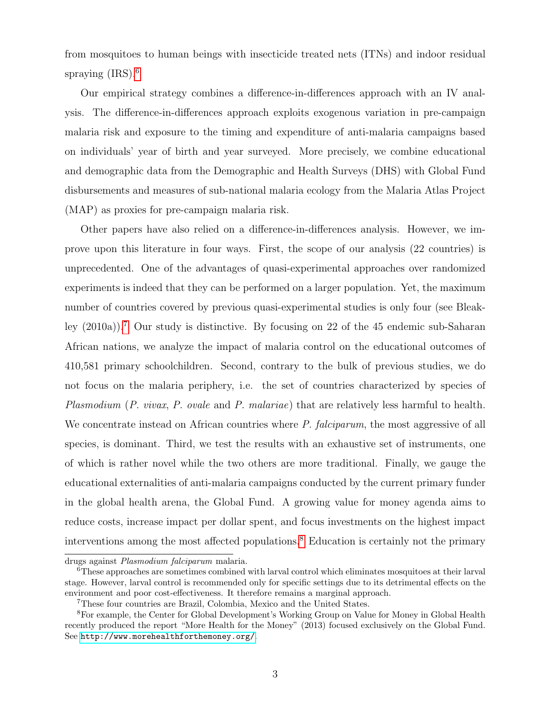from mosquitoes to human beings with insecticide treated nets (ITNs) and indoor residual spraying  $(IRS).<sup>6</sup>$  $(IRS).<sup>6</sup>$  $(IRS).<sup>6</sup>$ 

Our empirical strategy combines a difference-in-differences approach with an IV analysis. The difference-in-differences approach exploits exogenous variation in pre-campaign malaria risk and exposure to the timing and expenditure of anti-malaria campaigns based on individuals' year of birth and year surveyed. More precisely, we combine educational and demographic data from the Demographic and Health Surveys (DHS) with Global Fund disbursements and measures of sub-national malaria ecology from the Malaria Atlas Project (MAP) as proxies for pre-campaign malaria risk.

Other papers have also relied on a difference-in-differences analysis. However, we improve upon this literature in four ways. First, the scope of our analysis (22 countries) is unprecedented. One of the advantages of quasi-experimental approaches over randomized experiments is indeed that they can be performed on a larger population. Yet, the maximum number of countries covered by previous quasi-experimental studies is only four (see Bleakley  $(2010a)$ .<sup>[7](#page-0-0)</sup> Our study is distinctive. By focusing on 22 of the 45 endemic sub-Saharan African nations, we analyze the impact of malaria control on the educational outcomes of 410,581 primary schoolchildren. Second, contrary to the bulk of previous studies, we do not focus on the malaria periphery, i.e. the set of countries characterized by species of Plasmodium (P. vivax, P. ovale and P. malariae) that are relatively less harmful to health. We concentrate instead on African countries where P. falciparum, the most aggressive of all species, is dominant. Third, we test the results with an exhaustive set of instruments, one of which is rather novel while the two others are more traditional. Finally, we gauge the educational externalities of anti-malaria campaigns conducted by the current primary funder in the global health arena, the Global Fund. A growing value for money agenda aims to reduce costs, increase impact per dollar spent, and focus investments on the highest impact interventions among the most affected populations.[8](#page-0-0) Education is certainly not the primary

drugs against Plasmodium falciparum malaria.

<sup>6</sup>These approaches are sometimes combined with larval control which eliminates mosquitoes at their larval stage. However, larval control is recommended only for specific settings due to its detrimental effects on the environment and poor cost-effectiveness. It therefore remains a marginal approach.

<sup>7</sup>These four countries are Brazil, Colombia, Mexico and the United States.

<sup>8</sup>For example, the Center for Global Development's Working Group on Value for Money in Global Health recently produced the report "More Health for the Money" (2013) focused exclusively on the Global Fund. See <http://www.morehealthforthemoney.org/>.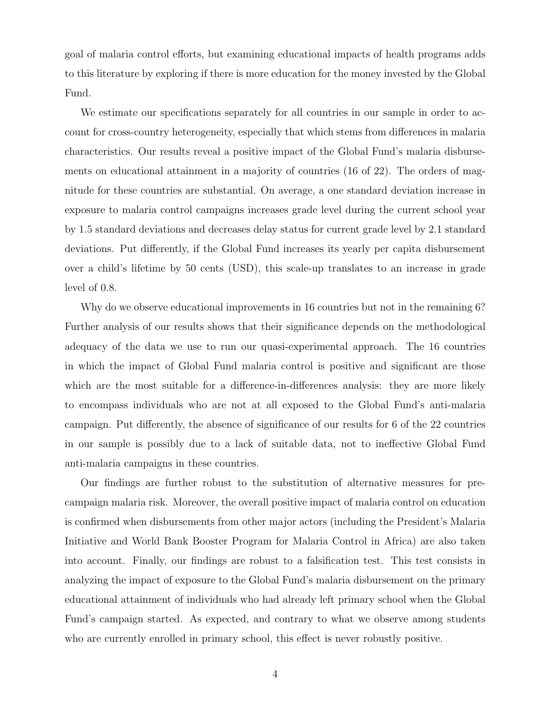goal of malaria control efforts, but examining educational impacts of health programs adds to this literature by exploring if there is more education for the money invested by the Global Fund.

We estimate our specifications separately for all countries in our sample in order to account for cross-country heterogeneity, especially that which stems from differences in malaria characteristics. Our results reveal a positive impact of the Global Fund's malaria disbursements on educational attainment in a majority of countries (16 of 22). The orders of magnitude for these countries are substantial. On average, a one standard deviation increase in exposure to malaria control campaigns increases grade level during the current school year by 1.5 standard deviations and decreases delay status for current grade level by 2.1 standard deviations. Put differently, if the Global Fund increases its yearly per capita disbursement over a child's lifetime by 50 cents (USD), this scale-up translates to an increase in grade level of 0.8.

Why do we observe educational improvements in 16 countries but not in the remaining 6? Further analysis of our results shows that their significance depends on the methodological adequacy of the data we use to run our quasi-experimental approach. The 16 countries in which the impact of Global Fund malaria control is positive and significant are those which are the most suitable for a difference-in-differences analysis: they are more likely to encompass individuals who are not at all exposed to the Global Fund's anti-malaria campaign. Put differently, the absence of significance of our results for 6 of the 22 countries in our sample is possibly due to a lack of suitable data, not to ineffective Global Fund anti-malaria campaigns in these countries.

Our findings are further robust to the substitution of alternative measures for precampaign malaria risk. Moreover, the overall positive impact of malaria control on education is confirmed when disbursements from other major actors (including the President's Malaria Initiative and World Bank Booster Program for Malaria Control in Africa) are also taken into account. Finally, our findings are robust to a falsification test. This test consists in analyzing the impact of exposure to the Global Fund's malaria disbursement on the primary educational attainment of individuals who had already left primary school when the Global Fund's campaign started. As expected, and contrary to what we observe among students who are currently enrolled in primary school, this effect is never robustly positive.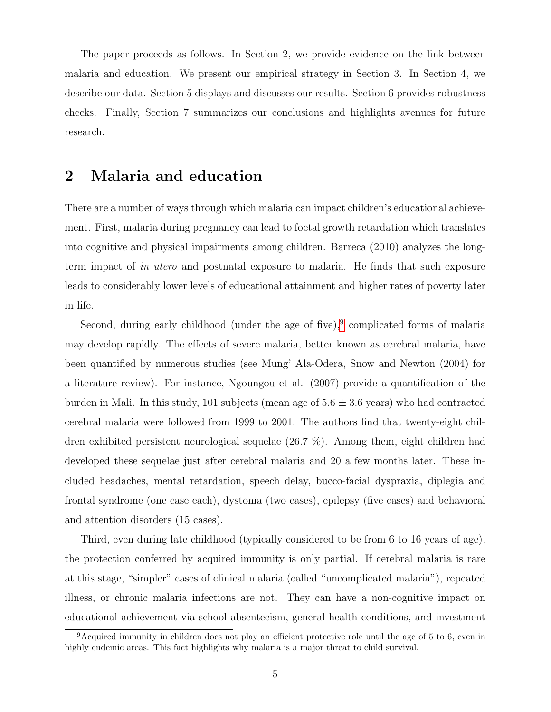The paper proceeds as follows. In Section 2, we provide evidence on the link between malaria and education. We present our empirical strategy in Section 3. In Section 4, we describe our data. Section 5 displays and discusses our results. Section 6 provides robustness checks. Finally, Section 7 summarizes our conclusions and highlights avenues for future research.

## 2 Malaria and education

There are a number of ways through which malaria can impact children's educational achievement. First, malaria during pregnancy can lead to foetal growth retardation which translates into cognitive and physical impairments among children. Barreca (2010) analyzes the longterm impact of in utero and postnatal exposure to malaria. He finds that such exposure leads to considerably lower levels of educational attainment and higher rates of poverty later in life.

Second, during early childhood (under the age of five), $9$  complicated forms of malaria may develop rapidly. The effects of severe malaria, better known as cerebral malaria, have been quantified by numerous studies (see Mung' Ala-Odera, Snow and Newton (2004) for a literature review). For instance, Ngoungou et al. (2007) provide a quantification of the burden in Mali. In this study, 101 subjects (mean age of  $5.6 \pm 3.6$  years) who had contracted cerebral malaria were followed from 1999 to 2001. The authors find that twenty-eight children exhibited persistent neurological sequelae (26.7 %). Among them, eight children had developed these sequelae just after cerebral malaria and 20 a few months later. These included headaches, mental retardation, speech delay, bucco-facial dyspraxia, diplegia and frontal syndrome (one case each), dystonia (two cases), epilepsy (five cases) and behavioral and attention disorders (15 cases).

Third, even during late childhood (typically considered to be from 6 to 16 years of age), the protection conferred by acquired immunity is only partial. If cerebral malaria is rare at this stage, "simpler" cases of clinical malaria (called "uncomplicated malaria"), repeated illness, or chronic malaria infections are not. They can have a non-cognitive impact on educational achievement via school absenteeism, general health conditions, and investment

<sup>9</sup>Acquired immunity in children does not play an efficient protective role until the age of 5 to 6, even in highly endemic areas. This fact highlights why malaria is a major threat to child survival.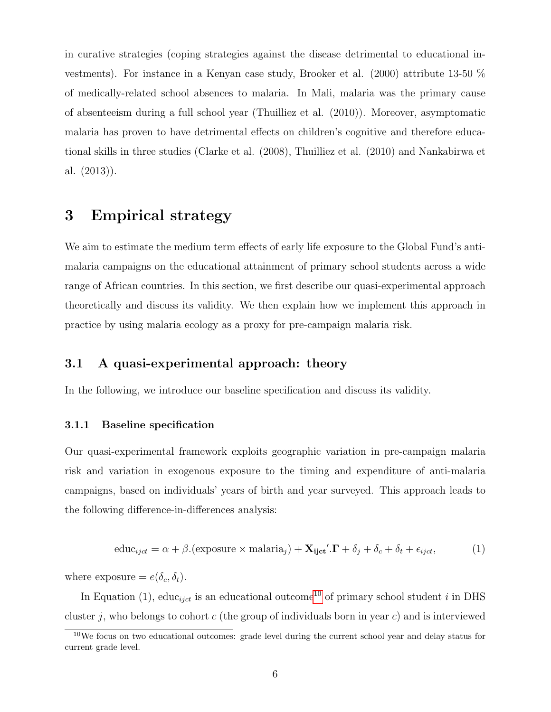in curative strategies (coping strategies against the disease detrimental to educational investments). For instance in a Kenyan case study, Brooker et al. (2000) attribute 13-50 % of medically-related school absences to malaria. In Mali, malaria was the primary cause of absenteeism during a full school year (Thuilliez et al. (2010)). Moreover, asymptomatic malaria has proven to have detrimental effects on children's cognitive and therefore educational skills in three studies (Clarke et al. (2008), Thuilliez et al. (2010) and Nankabirwa et al. (2013)).

# 3 Empirical strategy

We aim to estimate the medium term effects of early life exposure to the Global Fund's antimalaria campaigns on the educational attainment of primary school students across a wide range of African countries. In this section, we first describe our quasi-experimental approach theoretically and discuss its validity. We then explain how we implement this approach in practice by using malaria ecology as a proxy for pre-campaign malaria risk.

### 3.1 A quasi-experimental approach: theory

In the following, we introduce our baseline specification and discuss its validity.

#### 3.1.1 Baseline specification

Our quasi-experimental framework exploits geographic variation in pre-campaign malaria risk and variation in exogenous exposure to the timing and expenditure of anti-malaria campaigns, based on individuals' years of birth and year surveyed. This approach leads to the following difference-in-differences analysis:

$$
educijct = \alpha + \beta. (exposure \times malariaj) + \mathbf{X}_{ijct}' . \mathbf{\Gamma} + \delta_j + \delta_c + \delta_t + \epsilon_{ijct},
$$
 (1)

where exposure  $= e(\delta_c, \delta_t)$ .

In Equation (1), educ<sub>tict</sub> is an educational outcome<sup>[10](#page-0-0)</sup> of primary school student i in DHS cluster j, who belongs to cohort c (the group of individuals born in year c) and is interviewed

 $10$ We focus on two educational outcomes: grade level during the current school year and delay status for current grade level.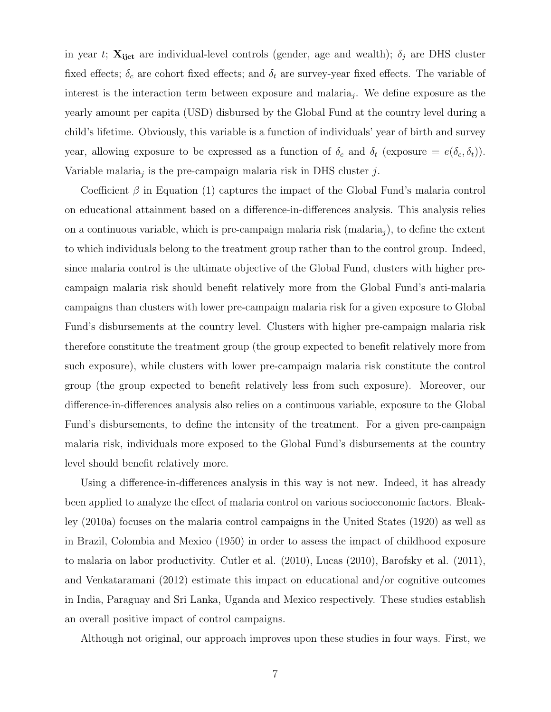in year t;  $\mathbf{X}_{ijct}$  are individual-level controls (gender, age and wealth);  $\delta_j$  are DHS cluster fixed effects;  $\delta_c$  are cohort fixed effects; and  $\delta_t$  are survey-year fixed effects. The variable of interest is the interaction term between exposure and malaria<sub>j</sub>. We define exposure as the yearly amount per capita (USD) disbursed by the Global Fund at the country level during a child's lifetime. Obviously, this variable is a function of individuals' year of birth and survey year, allowing exposure to be expressed as a function of  $\delta_c$  and  $\delta_t$  (exposure =  $e(\delta_c, \delta_t)$ ). Variable malaria<sub>j</sub> is the pre-campaign malaria risk in DHS cluster  $j$ .

Coefficient  $\beta$  in Equation (1) captures the impact of the Global Fund's malaria control on educational attainment based on a difference-in-differences analysis. This analysis relies on a continuous variable, which is pre-campaign malaria risk (malaria<sub>j</sub>), to define the extent to which individuals belong to the treatment group rather than to the control group. Indeed, since malaria control is the ultimate objective of the Global Fund, clusters with higher precampaign malaria risk should benefit relatively more from the Global Fund's anti-malaria campaigns than clusters with lower pre-campaign malaria risk for a given exposure to Global Fund's disbursements at the country level. Clusters with higher pre-campaign malaria risk therefore constitute the treatment group (the group expected to benefit relatively more from such exposure), while clusters with lower pre-campaign malaria risk constitute the control group (the group expected to benefit relatively less from such exposure). Moreover, our difference-in-differences analysis also relies on a continuous variable, exposure to the Global Fund's disbursements, to define the intensity of the treatment. For a given pre-campaign malaria risk, individuals more exposed to the Global Fund's disbursements at the country level should benefit relatively more.

Using a difference-in-differences analysis in this way is not new. Indeed, it has already been applied to analyze the effect of malaria control on various socioeconomic factors. Bleakley (2010a) focuses on the malaria control campaigns in the United States (1920) as well as in Brazil, Colombia and Mexico (1950) in order to assess the impact of childhood exposure to malaria on labor productivity. Cutler et al. (2010), Lucas (2010), Barofsky et al. (2011), and Venkataramani (2012) estimate this impact on educational and/or cognitive outcomes in India, Paraguay and Sri Lanka, Uganda and Mexico respectively. These studies establish an overall positive impact of control campaigns.

Although not original, our approach improves upon these studies in four ways. First, we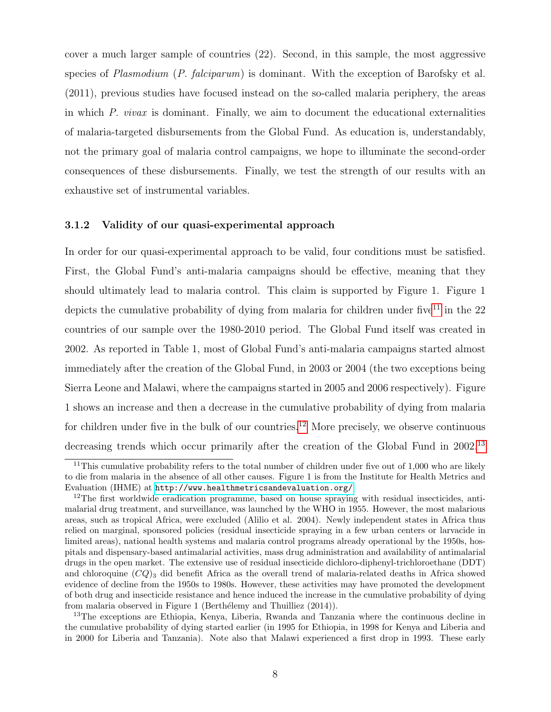cover a much larger sample of countries (22). Second, in this sample, the most aggressive species of Plasmodium (P. falciparum) is dominant. With the exception of Barofsky et al. (2011), previous studies have focused instead on the so-called malaria periphery, the areas in which  $P.$  vivax is dominant. Finally, we aim to document the educational externalities of malaria-targeted disbursements from the Global Fund. As education is, understandably, not the primary goal of malaria control campaigns, we hope to illuminate the second-order consequences of these disbursements. Finally, we test the strength of our results with an exhaustive set of instrumental variables.

#### 3.1.2 Validity of our quasi-experimental approach

In order for our quasi-experimental approach to be valid, four conditions must be satisfied. First, the Global Fund's anti-malaria campaigns should be effective, meaning that they should ultimately lead to malaria control. This claim is supported by Figure 1. Figure 1 depicts the cumulative probability of dying from malaria for children under five<sup>[11](#page-0-0)</sup> in the 22 countries of our sample over the 1980-2010 period. The Global Fund itself was created in 2002. As reported in Table 1, most of Global Fund's anti-malaria campaigns started almost immediately after the creation of the Global Fund, in 2003 or 2004 (the two exceptions being Sierra Leone and Malawi, where the campaigns started in 2005 and 2006 respectively). Figure 1 shows an increase and then a decrease in the cumulative probability of dying from malaria for children under five in the bulk of our countries.<sup>[12](#page-0-0)</sup> More precisely, we observe continuous decreasing trends which occur primarily after the creation of the Global Fund in 2002.<sup>[13](#page-0-0)</sup>

<sup>&</sup>lt;sup>11</sup>This cumulative probability refers to the total number of children under five out of  $1,000$  who are likely to die from malaria in the absence of all other causes. Figure 1 is from the Institute for Health Metrics and Evaluation (IHME) at <http://www.healthmetricsandevaluation.org/>.

<sup>&</sup>lt;sup>12</sup>The first worldwide eradication programme, based on house spraying with residual insecticides, antimalarial drug treatment, and surveillance, was launched by the WHO in 1955. However, the most malarious areas, such as tropical Africa, were excluded (Alilio et al. 2004). Newly independent states in Africa thus relied on marginal, sponsored policies (residual insecticide spraying in a few urban centers or larvacide in limited areas), national health systems and malaria control programs already operational by the 1950s, hospitals and dispensary-based antimalarial activities, mass drug administration and availability of antimalarial drugs in the open market. The extensive use of residual insecticide dichloro-diphenyl-trichloroethane (DDT) and chloroquine  $(CQ)_3$  did benefit Africa as the overall trend of malaria-related deaths in Africa showed evidence of decline from the 1950s to 1980s. However, these activities may have promoted the development of both drug and insecticide resistance and hence induced the increase in the cumulative probability of dying from malaria observed in Figure 1 (Berthélemy and Thuilliez (2014)).

<sup>&</sup>lt;sup>13</sup>The exceptions are Ethiopia, Kenya, Liberia, Rwanda and Tanzania where the continuous decline in the cumulative probability of dying started earlier (in 1995 for Ethiopia, in 1998 for Kenya and Liberia and in 2000 for Liberia and Tanzania). Note also that Malawi experienced a first drop in 1993. These early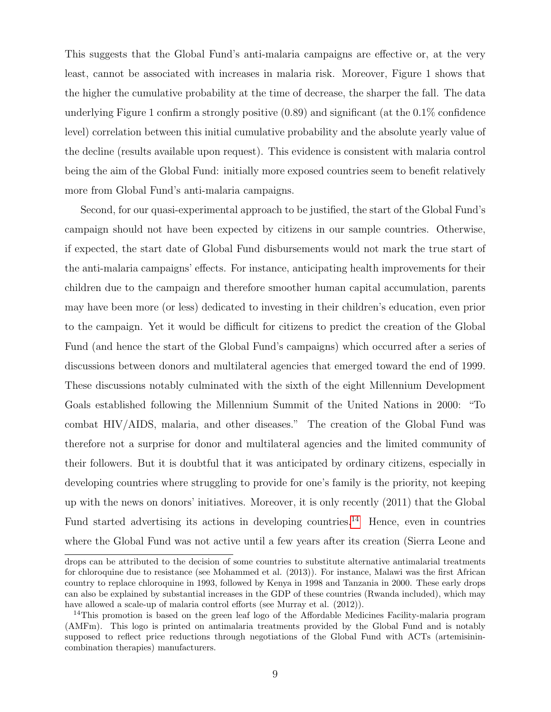This suggests that the Global Fund's anti-malaria campaigns are effective or, at the very least, cannot be associated with increases in malaria risk. Moreover, Figure 1 shows that the higher the cumulative probability at the time of decrease, the sharper the fall. The data underlying Figure 1 confirm a strongly positive (0.89) and significant (at the 0.1% confidence level) correlation between this initial cumulative probability and the absolute yearly value of the decline (results available upon request). This evidence is consistent with malaria control being the aim of the Global Fund: initially more exposed countries seem to benefit relatively more from Global Fund's anti-malaria campaigns.

Second, for our quasi-experimental approach to be justified, the start of the Global Fund's campaign should not have been expected by citizens in our sample countries. Otherwise, if expected, the start date of Global Fund disbursements would not mark the true start of the anti-malaria campaigns' effects. For instance, anticipating health improvements for their children due to the campaign and therefore smoother human capital accumulation, parents may have been more (or less) dedicated to investing in their children's education, even prior to the campaign. Yet it would be difficult for citizens to predict the creation of the Global Fund (and hence the start of the Global Fund's campaigns) which occurred after a series of discussions between donors and multilateral agencies that emerged toward the end of 1999. These discussions notably culminated with the sixth of the eight Millennium Development Goals established following the Millennium Summit of the United Nations in 2000: "To combat HIV/AIDS, malaria, and other diseases." The creation of the Global Fund was therefore not a surprise for donor and multilateral agencies and the limited community of their followers. But it is doubtful that it was anticipated by ordinary citizens, especially in developing countries where struggling to provide for one's family is the priority, not keeping up with the news on donors' initiatives. Moreover, it is only recently (2011) that the Global Fund started advertising its actions in developing countries.<sup>[14](#page-0-0)</sup> Hence, even in countries where the Global Fund was not active until a few years after its creation (Sierra Leone and

drops can be attributed to the decision of some countries to substitute alternative antimalarial treatments for chloroquine due to resistance (see Mohammed et al. (2013)). For instance, Malawi was the first African country to replace chloroquine in 1993, followed by Kenya in 1998 and Tanzania in 2000. These early drops can also be explained by substantial increases in the GDP of these countries (Rwanda included), which may have allowed a scale-up of malaria control efforts (see Murray et al. (2012)).

<sup>&</sup>lt;sup>14</sup>This promotion is based on the green leaf logo of the Affordable Medicines Facility-malaria program (AMFm). This logo is printed on antimalaria treatments provided by the Global Fund and is notably supposed to reflect price reductions through negotiations of the Global Fund with ACTs (artemisinincombination therapies) manufacturers.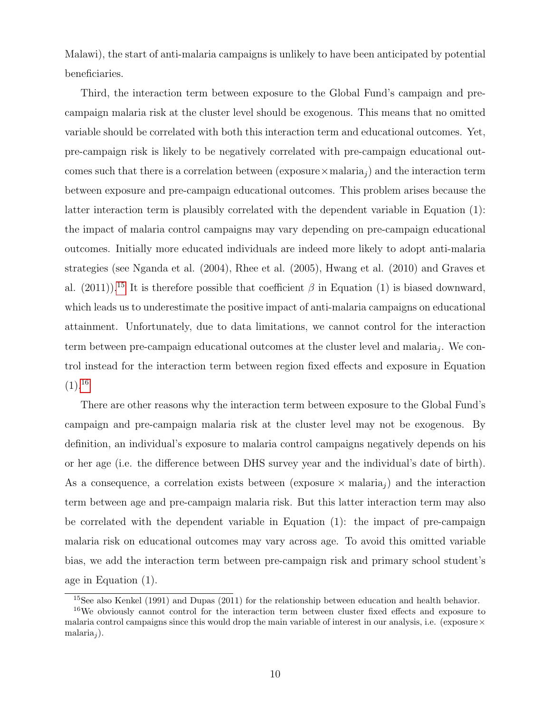Malawi), the start of anti-malaria campaigns is unlikely to have been anticipated by potential beneficiaries.

Third, the interaction term between exposure to the Global Fund's campaign and precampaign malaria risk at the cluster level should be exogenous. This means that no omitted variable should be correlated with both this interaction term and educational outcomes. Yet, pre-campaign risk is likely to be negatively correlated with pre-campaign educational outcomes such that there is a correlation between (exposure  $\times$  malaria<sub>j</sub>) and the interaction term between exposure and pre-campaign educational outcomes. This problem arises because the latter interaction term is plausibly correlated with the dependent variable in Equation (1): the impact of malaria control campaigns may vary depending on pre-campaign educational outcomes. Initially more educated individuals are indeed more likely to adopt anti-malaria strategies (see Nganda et al. (2004), Rhee et al. (2005), Hwang et al. (2010) and Graves et al. (2011)).<sup>[15](#page-0-0)</sup> It is therefore possible that coefficient  $\beta$  in Equation (1) is biased downward, which leads us to underestimate the positive impact of anti-malaria campaigns on educational attainment. Unfortunately, due to data limitations, we cannot control for the interaction term between pre-campaign educational outcomes at the cluster level and malaria<sub>j</sub>. We control instead for the interaction term between region fixed effects and exposure in Equation  $(1).^{16}$  $(1).^{16}$  $(1).^{16}$ 

There are other reasons why the interaction term between exposure to the Global Fund's campaign and pre-campaign malaria risk at the cluster level may not be exogenous. By definition, an individual's exposure to malaria control campaigns negatively depends on his or her age (i.e. the difference between DHS survey year and the individual's date of birth). As a consequence, a correlation exists between (exposure  $\times$  malaria<sub>j</sub>) and the interaction term between age and pre-campaign malaria risk. But this latter interaction term may also be correlated with the dependent variable in Equation (1): the impact of pre-campaign malaria risk on educational outcomes may vary across age. To avoid this omitted variable bias, we add the interaction term between pre-campaign risk and primary school student's age in Equation (1).

<sup>15</sup>See also Kenkel (1991) and Dupas (2011) for the relationship between education and health behavior.

<sup>&</sup>lt;sup>16</sup>We obviously cannot control for the interaction term between cluster fixed effects and exposure to malaria control campaigns since this would drop the main variable of interest in our analysis, i.e. (exposure  $\times$  $\text{malaria}_i$ ).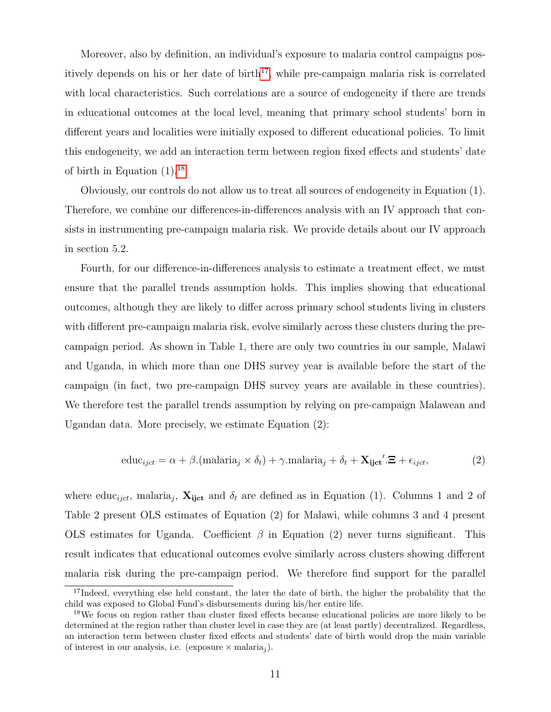Moreover, also by definition, an individual's exposure to malaria control campaigns pos-itively depends on his or her date of birth<sup>[17](#page-0-0)</sup>, while pre-campaign malaria risk is correlated with local characteristics. Such correlations are a source of endogeneity if there are trends in educational outcomes at the local level, meaning that primary school students' born in different years and localities were initially exposed to different educational policies. To limit this endogeneity, we add an interaction term between region fixed effects and students' date of birth in Equation  $(1).^{18}$  $(1).^{18}$  $(1).^{18}$ 

Obviously, our controls do not allow us to treat all sources of endogeneity in Equation (1). Therefore, we combine our differences-in-differences analysis with an IV approach that consists in instrumenting pre-campaign malaria risk. We provide details about our IV approach in section 5.2.

Fourth, for our difference-in-differences analysis to estimate a treatment effect, we must ensure that the parallel trends assumption holds. This implies showing that educational outcomes, although they are likely to differ across primary school students living in clusters with different pre-campaign malaria risk, evolve similarly across these clusters during the precampaign period. As shown in Table 1, there are only two countries in our sample, Malawi and Uganda, in which more than one DHS survey year is available before the start of the campaign (in fact, two pre-campaign DHS survey years are available in these countries). We therefore test the parallel trends assumption by relying on pre-campaign Malawean and Ugandan data. More precisely, we estimate Equation (2):

$$
educijct = \alpha + \beta. (malariaj \times \deltat) + \gamma. malariaj + \deltat + \mathbf{X}_{ijct}'.\mathbf{\Xi} + \epsilon_{ijct},
$$
\n(2)

where educ<sub>ijct</sub>, malaria<sub>j</sub>,  $\mathbf{X}_{ijct}$  and  $\delta_t$  are defined as in Equation (1). Columns 1 and 2 of Table 2 present OLS estimates of Equation (2) for Malawi, while columns 3 and 4 present OLS estimates for Uganda. Coefficient  $\beta$  in Equation (2) never turns significant. This result indicates that educational outcomes evolve similarly across clusters showing different malaria risk during the pre-campaign period. We therefore find support for the parallel

<sup>&</sup>lt;sup>17</sup>Indeed, everything else held constant, the later the date of birth, the higher the probability that the child was exposed to Global Fund's disbursements during his/her entire life.

<sup>&</sup>lt;sup>18</sup>We focus on region rather than cluster fixed effects because educational policies are more likely to be determined at the region rather than cluster level in case they are (at least partly) decentralized. Regardless, an interaction term between cluster fixed effects and students' date of birth would drop the main variable of interest in our analysis, i.e. (exposure  $\times$  malaria<sub>j</sub>).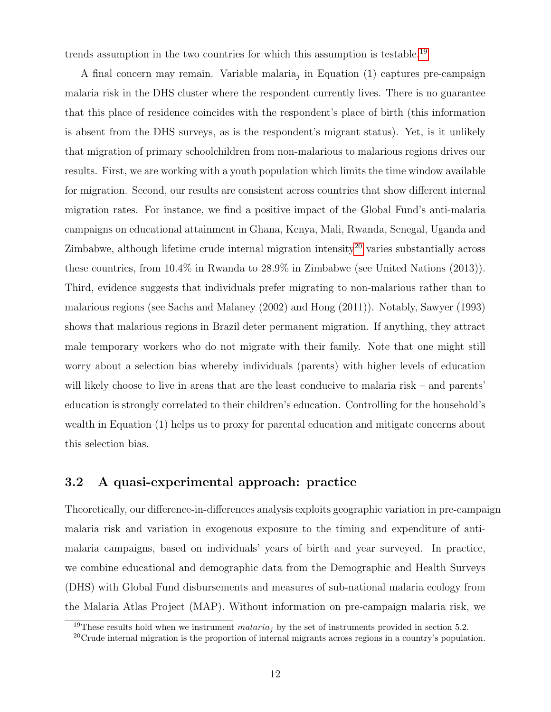trends assumption in the two countries for which this assumption is testable.<sup>[19](#page-0-0)</sup>

A final concern may remain. Variable malaria<sub>j</sub> in Equation  $(1)$  captures pre-campaign malaria risk in the DHS cluster where the respondent currently lives. There is no guarantee that this place of residence coincides with the respondent's place of birth (this information is absent from the DHS surveys, as is the respondent's migrant status). Yet, is it unlikely that migration of primary schoolchildren from non-malarious to malarious regions drives our results. First, we are working with a youth population which limits the time window available for migration. Second, our results are consistent across countries that show different internal migration rates. For instance, we find a positive impact of the Global Fund's anti-malaria campaigns on educational attainment in Ghana, Kenya, Mali, Rwanda, Senegal, Uganda and Zimbabwe, although lifetime crude internal migration intensity<sup>[20](#page-0-0)</sup> varies substantially across these countries, from 10.4% in Rwanda to 28.9% in Zimbabwe (see United Nations (2013)). Third, evidence suggests that individuals prefer migrating to non-malarious rather than to malarious regions (see Sachs and Malaney (2002) and Hong (2011)). Notably, Sawyer (1993) shows that malarious regions in Brazil deter permanent migration. If anything, they attract male temporary workers who do not migrate with their family. Note that one might still worry about a selection bias whereby individuals (parents) with higher levels of education will likely choose to live in areas that are the least conducive to malaria risk – and parents' education is strongly correlated to their children's education. Controlling for the household's wealth in Equation (1) helps us to proxy for parental education and mitigate concerns about this selection bias.

### 3.2 A quasi-experimental approach: practice

Theoretically, our difference-in-differences analysis exploits geographic variation in pre-campaign malaria risk and variation in exogenous exposure to the timing and expenditure of antimalaria campaigns, based on individuals' years of birth and year surveyed. In practice, we combine educational and demographic data from the Demographic and Health Surveys (DHS) with Global Fund disbursements and measures of sub-national malaria ecology from the Malaria Atlas Project (MAP). Without information on pre-campaign malaria risk, we

<sup>&</sup>lt;sup>19</sup>These results hold when we instrument *malaria<sub>i</sub>* by the set of instruments provided in section 5.2.

<sup>20</sup>Crude internal migration is the proportion of internal migrants across regions in a country's population.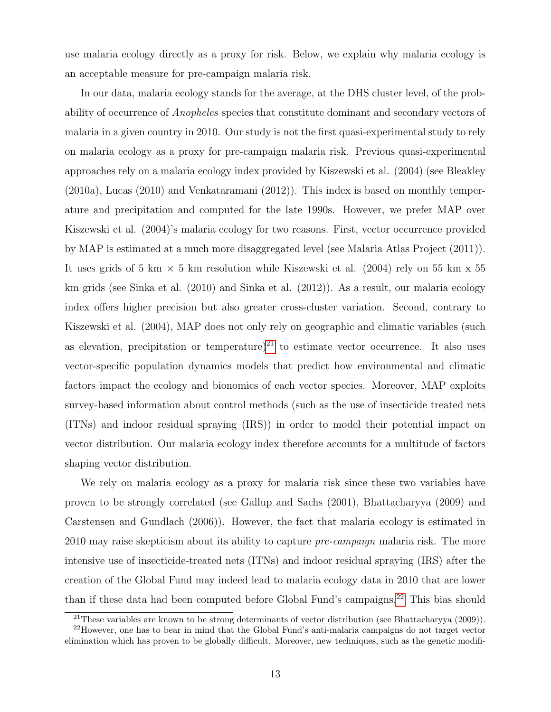use malaria ecology directly as a proxy for risk. Below, we explain why malaria ecology is an acceptable measure for pre-campaign malaria risk.

In our data, malaria ecology stands for the average, at the DHS cluster level, of the probability of occurrence of Anopheles species that constitute dominant and secondary vectors of malaria in a given country in 2010. Our study is not the first quasi-experimental study to rely on malaria ecology as a proxy for pre-campaign malaria risk. Previous quasi-experimental approaches rely on a malaria ecology index provided by Kiszewski et al. (2004) (see Bleakley (2010a), Lucas (2010) and Venkataramani (2012)). This index is based on monthly temperature and precipitation and computed for the late 1990s. However, we prefer MAP over Kiszewski et al. (2004)'s malaria ecology for two reasons. First, vector occurrence provided by MAP is estimated at a much more disaggregated level (see Malaria Atlas Project (2011)). It uses grids of 5 km  $\times$  5 km resolution while Kiszewski et al. (2004) rely on 55 km x 55 km grids (see Sinka et al. (2010) and Sinka et al. (2012)). As a result, our malaria ecology index offers higher precision but also greater cross-cluster variation. Second, contrary to Kiszewski et al. (2004), MAP does not only rely on geographic and climatic variables (such as elevation, precipitation or temperature)<sup>[21](#page-0-0)</sup> to estimate vector occurrence. It also uses vector-specific population dynamics models that predict how environmental and climatic factors impact the ecology and bionomics of each vector species. Moreover, MAP exploits survey-based information about control methods (such as the use of insecticide treated nets (ITNs) and indoor residual spraying (IRS)) in order to model their potential impact on vector distribution. Our malaria ecology index therefore accounts for a multitude of factors shaping vector distribution.

We rely on malaria ecology as a proxy for malaria risk since these two variables have proven to be strongly correlated (see Gallup and Sachs (2001), Bhattacharyya (2009) and Carstensen and Gundlach (2006)). However, the fact that malaria ecology is estimated in 2010 may raise skepticism about its ability to capture pre-campaign malaria risk. The more intensive use of insecticide-treated nets (ITNs) and indoor residual spraying (IRS) after the creation of the Global Fund may indeed lead to malaria ecology data in 2010 that are lower than if these data had been computed before Global Fund's campaigns.<sup>[22](#page-0-0)</sup> This bias should

<sup>&</sup>lt;sup>21</sup>These variables are known to be strong determinants of vector distribution (see Bhattacharyya  $(2009)$ ).

 $^{22}$ However, one has to bear in mind that the Global Fund's anti-malaria campaigns do not target vector elimination which has proven to be globally difficult. Moreover, new techniques, such as the genetic modifi-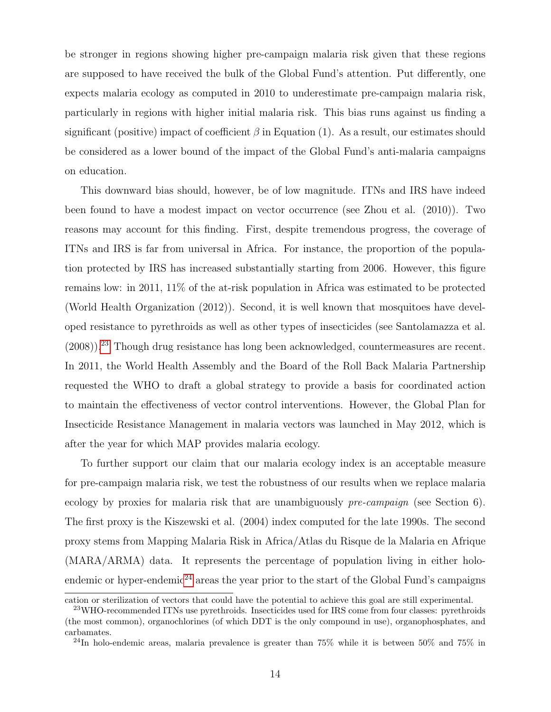be stronger in regions showing higher pre-campaign malaria risk given that these regions are supposed to have received the bulk of the Global Fund's attention. Put differently, one expects malaria ecology as computed in 2010 to underestimate pre-campaign malaria risk, particularly in regions with higher initial malaria risk. This bias runs against us finding a significant (positive) impact of coefficient  $\beta$  in Equation (1). As a result, our estimates should be considered as a lower bound of the impact of the Global Fund's anti-malaria campaigns on education.

This downward bias should, however, be of low magnitude. ITNs and IRS have indeed been found to have a modest impact on vector occurrence (see Zhou et al. (2010)). Two reasons may account for this finding. First, despite tremendous progress, the coverage of ITNs and IRS is far from universal in Africa. For instance, the proportion of the population protected by IRS has increased substantially starting from 2006. However, this figure remains low: in 2011, 11% of the at-risk population in Africa was estimated to be protected (World Health Organization (2012)). Second, it is well known that mosquitoes have developed resistance to pyrethroids as well as other types of insecticides (see Santolamazza et al.  $(2008)$ ).<sup>[23](#page-0-0)</sup> Though drug resistance has long been acknowledged, countermeasures are recent. In 2011, the World Health Assembly and the Board of the Roll Back Malaria Partnership requested the WHO to draft a global strategy to provide a basis for coordinated action to maintain the effectiveness of vector control interventions. However, the Global Plan for Insecticide Resistance Management in malaria vectors was launched in May 2012, which is after the year for which MAP provides malaria ecology.

To further support our claim that our malaria ecology index is an acceptable measure for pre-campaign malaria risk, we test the robustness of our results when we replace malaria ecology by proxies for malaria risk that are unambiguously  $pre-campajgn$  (see Section 6). The first proxy is the Kiszewski et al. (2004) index computed for the late 1990s. The second proxy stems from Mapping Malaria Risk in Africa/Atlas du Risque de la Malaria en Afrique (MARA/ARMA) data. It represents the percentage of population living in either holo-endemic or hyper-endemic<sup>[24](#page-0-0)</sup> areas the year prior to the start of the Global Fund's campaigns

cation or sterilization of vectors that could have the potential to achieve this goal are still experimental.

<sup>23</sup>WHO-recommended ITNs use pyrethroids. Insecticides used for IRS come from four classes: pyrethroids (the most common), organochlorines (of which DDT is the only compound in use), organophosphates, and carbamates.

<sup>&</sup>lt;sup>24</sup>In holo-endemic areas, malaria prevalence is greater than  $75\%$  while it is between  $50\%$  and  $75\%$  in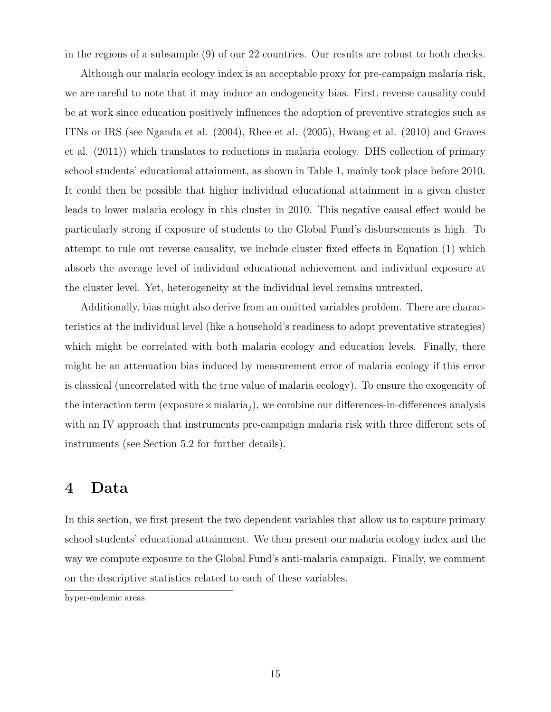in the regions of a subsample (9) of our 22 countries. Our results are robust to both checks.

Although our malaria ecology index is an acceptable proxy for pre-campaign malaria risk, we are careful to note that it may induce an endogeneity bias. First, reverse causality could be at work since education positively influences the adoption of preventive strategies such as ITNs or IRS (see Nganda et al. (2004), Rhee et al. (2005), Hwang et al. (2010) and Graves et al. (2011)) which translates to reductions in malaria ecology. DHS collection of primary school students' educational attainment, as shown in Table 1, mainly took place before 2010. It could then be possible that higher individual educational attainment in a given cluster leads to lower malaria ecology in this cluster in 2010. This negative causal effect would be particularly strong if exposure of students to the Global Fund's disbursements is high. To attempt to rule out reverse causality, we include cluster fixed effects in Equation (1) which absorb the average level of individual educational achievement and individual exposure at the cluster level. Yet, heterogeneity at the individual level remains untreated.

Additionally, bias might also derive from an omitted variables problem. There are characteristics at the individual level (like a household's readiness to adopt preventative strategies) which might be correlated with both malaria ecology and education levels. Finally, there might be an attenuation bias induced by measurement error of malaria ecology if this error is classical (uncorrelated with the true value of malaria ecology). To ensure the exogeneity of the interaction term (exposure  $\times$  malaria<sub>j</sub>), we combine our differences-in-differences analysis with an IV approach that instruments pre-campaign malaria risk with three different sets of instruments (see Section 5.2 for further details).

# 4 Data

In this section, we first present the two dependent variables that allow us to capture primary school students' educational attainment. We then present our malaria ecology index and the way we compute exposure to the Global Fund's anti-malaria campaign. Finally, we comment on the descriptive statistics related to each of these variables.

hyper-endemic areas.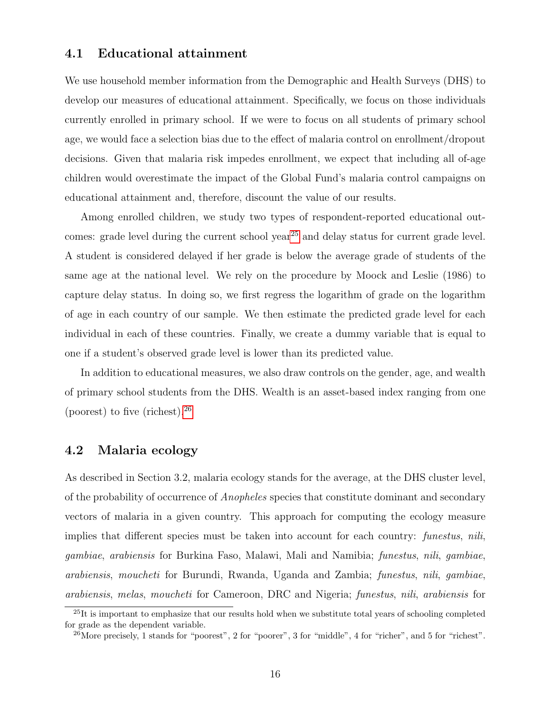#### 4.1 Educational attainment

We use household member information from the Demographic and Health Surveys (DHS) to develop our measures of educational attainment. Specifically, we focus on those individuals currently enrolled in primary school. If we were to focus on all students of primary school age, we would face a selection bias due to the effect of malaria control on enrollment/dropout decisions. Given that malaria risk impedes enrollment, we expect that including all of-age children would overestimate the impact of the Global Fund's malaria control campaigns on educational attainment and, therefore, discount the value of our results.

Among enrolled children, we study two types of respondent-reported educational out-comes: grade level during the current school year<sup>[25](#page-0-0)</sup> and delay status for current grade level. A student is considered delayed if her grade is below the average grade of students of the same age at the national level. We rely on the procedure by Moock and Leslie (1986) to capture delay status. In doing so, we first regress the logarithm of grade on the logarithm of age in each country of our sample. We then estimate the predicted grade level for each individual in each of these countries. Finally, we create a dummy variable that is equal to one if a student's observed grade level is lower than its predicted value.

In addition to educational measures, we also draw controls on the gender, age, and wealth of primary school students from the DHS. Wealth is an asset-based index ranging from one (poorest) to five (richest).[26](#page-0-0)

### 4.2 Malaria ecology

As described in Section 3.2, malaria ecology stands for the average, at the DHS cluster level, of the probability of occurrence of Anopheles species that constitute dominant and secondary vectors of malaria in a given country. This approach for computing the ecology measure implies that different species must be taken into account for each country: funestus, nili, gambiae, arabiensis for Burkina Faso, Malawi, Mali and Namibia; funestus, nili, gambiae, arabiensis, moucheti for Burundi, Rwanda, Uganda and Zambia; funestus, nili, gambiae, arabiensis, melas, moucheti for Cameroon, DRC and Nigeria; funestus, nili, arabiensis for

<sup>&</sup>lt;sup>25</sup>It is important to emphasize that our results hold when we substitute total years of schooling completed for grade as the dependent variable.

 $^{26}$ More precisely, 1 stands for "poorest", 2 for "poorer", 3 for "middle", 4 for "richer", and 5 for "richest".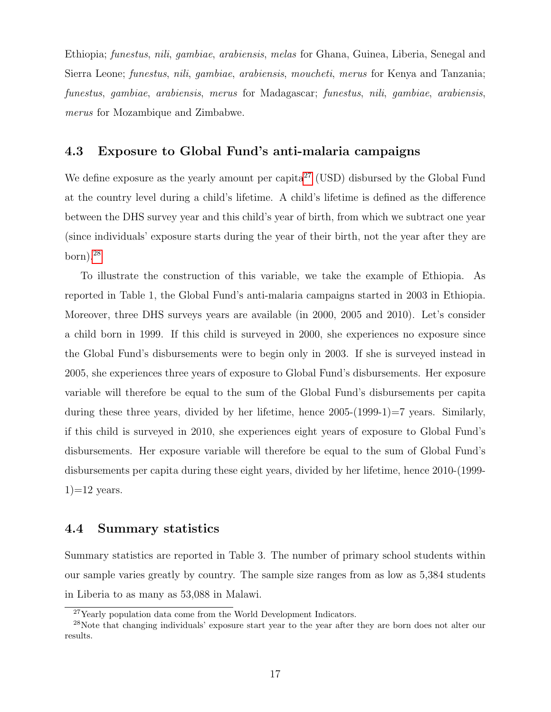Ethiopia; funestus, nili, gambiae, arabiensis, melas for Ghana, Guinea, Liberia, Senegal and Sierra Leone; funestus, nili, gambiae, arabiensis, moucheti, merus for Kenya and Tanzania; funestus, gambiae, arabiensis, merus for Madagascar; funestus, nili, gambiae, arabiensis, merus for Mozambique and Zimbabwe.

## 4.3 Exposure to Global Fund's anti-malaria campaigns

We define exposure as the yearly amount per capita<sup>[27](#page-0-0)</sup> (USD) disbursed by the Global Fund at the country level during a child's lifetime. A child's lifetime is defined as the difference between the DHS survey year and this child's year of birth, from which we subtract one year (since individuals' exposure starts during the year of their birth, not the year after they are  $born).^{28}$  $born).^{28}$  $born).^{28}$ 

To illustrate the construction of this variable, we take the example of Ethiopia. As reported in Table 1, the Global Fund's anti-malaria campaigns started in 2003 in Ethiopia. Moreover, three DHS surveys years are available (in 2000, 2005 and 2010). Let's consider a child born in 1999. If this child is surveyed in 2000, she experiences no exposure since the Global Fund's disbursements were to begin only in 2003. If she is surveyed instead in 2005, she experiences three years of exposure to Global Fund's disbursements. Her exposure variable will therefore be equal to the sum of the Global Fund's disbursements per capita during these three years, divided by her lifetime, hence  $2005-(1999-1)=7$  years. Similarly, if this child is surveyed in 2010, she experiences eight years of exposure to Global Fund's disbursements. Her exposure variable will therefore be equal to the sum of Global Fund's disbursements per capita during these eight years, divided by her lifetime, hence 2010-(1999-  $1)=12$  years.

## 4.4 Summary statistics

Summary statistics are reported in Table 3. The number of primary school students within our sample varies greatly by country. The sample size ranges from as low as 5,384 students in Liberia to as many as 53,088 in Malawi.

 $27$ Yearly population data come from the World Development Indicators.

<sup>&</sup>lt;sup>28</sup>Note that changing individuals' exposure start year to the year after they are born does not alter our results.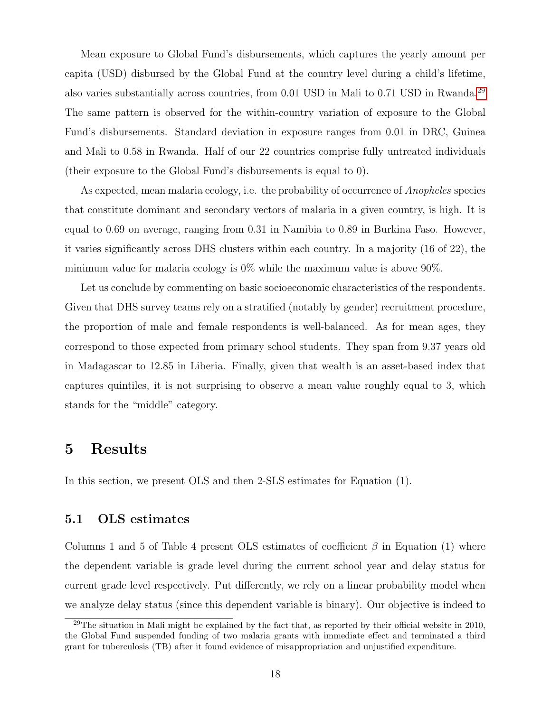Mean exposure to Global Fund's disbursements, which captures the yearly amount per capita (USD) disbursed by the Global Fund at the country level during a child's lifetime, also varies substantially across countries, from 0.01 USD in Mali to 0.71 USD in Rwanda.[29](#page-0-0) The same pattern is observed for the within-country variation of exposure to the Global Fund's disbursements. Standard deviation in exposure ranges from 0.01 in DRC, Guinea and Mali to 0.58 in Rwanda. Half of our 22 countries comprise fully untreated individuals (their exposure to the Global Fund's disbursements is equal to 0).

As expected, mean malaria ecology, i.e. the probability of occurrence of *Anopheles* species that constitute dominant and secondary vectors of malaria in a given country, is high. It is equal to 0.69 on average, ranging from 0.31 in Namibia to 0.89 in Burkina Faso. However, it varies significantly across DHS clusters within each country. In a majority (16 of 22), the minimum value for malaria ecology is 0% while the maximum value is above 90%.

Let us conclude by commenting on basic socioeconomic characteristics of the respondents. Given that DHS survey teams rely on a stratified (notably by gender) recruitment procedure, the proportion of male and female respondents is well-balanced. As for mean ages, they correspond to those expected from primary school students. They span from 9.37 years old in Madagascar to 12.85 in Liberia. Finally, given that wealth is an asset-based index that captures quintiles, it is not surprising to observe a mean value roughly equal to 3, which stands for the "middle" category.

# 5 Results

In this section, we present OLS and then 2-SLS estimates for Equation (1).

## 5.1 OLS estimates

Columns 1 and 5 of Table 4 present OLS estimates of coefficient  $\beta$  in Equation (1) where the dependent variable is grade level during the current school year and delay status for current grade level respectively. Put differently, we rely on a linear probability model when we analyze delay status (since this dependent variable is binary). Our objective is indeed to

<sup>29</sup>The situation in Mali might be explained by the fact that, as reported by their official website in 2010, the Global Fund suspended funding of two malaria grants with immediate effect and terminated a third grant for tuberculosis (TB) after it found evidence of misappropriation and unjustified expenditure.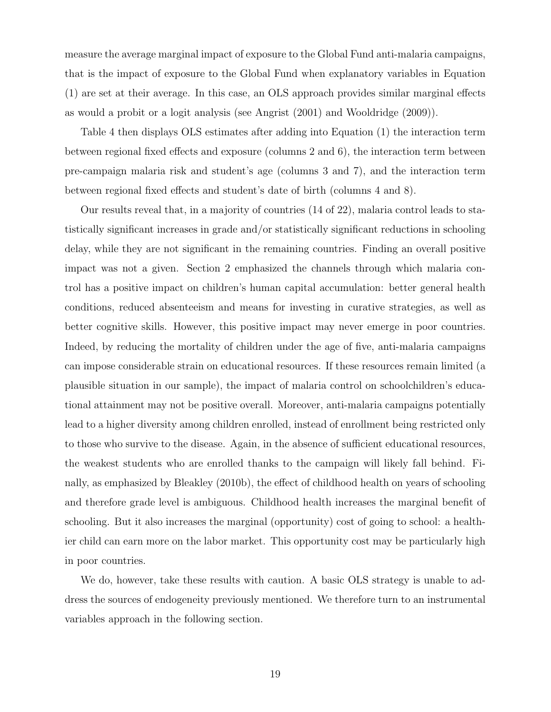measure the average marginal impact of exposure to the Global Fund anti-malaria campaigns, that is the impact of exposure to the Global Fund when explanatory variables in Equation (1) are set at their average. In this case, an OLS approach provides similar marginal effects as would a probit or a logit analysis (see Angrist (2001) and Wooldridge (2009)).

Table 4 then displays OLS estimates after adding into Equation (1) the interaction term between regional fixed effects and exposure (columns 2 and 6), the interaction term between pre-campaign malaria risk and student's age (columns 3 and 7), and the interaction term between regional fixed effects and student's date of birth (columns 4 and 8).

Our results reveal that, in a majority of countries (14 of 22), malaria control leads to statistically significant increases in grade and/or statistically significant reductions in schooling delay, while they are not significant in the remaining countries. Finding an overall positive impact was not a given. Section 2 emphasized the channels through which malaria control has a positive impact on children's human capital accumulation: better general health conditions, reduced absenteeism and means for investing in curative strategies, as well as better cognitive skills. However, this positive impact may never emerge in poor countries. Indeed, by reducing the mortality of children under the age of five, anti-malaria campaigns can impose considerable strain on educational resources. If these resources remain limited (a plausible situation in our sample), the impact of malaria control on schoolchildren's educational attainment may not be positive overall. Moreover, anti-malaria campaigns potentially lead to a higher diversity among children enrolled, instead of enrollment being restricted only to those who survive to the disease. Again, in the absence of sufficient educational resources, the weakest students who are enrolled thanks to the campaign will likely fall behind. Finally, as emphasized by Bleakley (2010b), the effect of childhood health on years of schooling and therefore grade level is ambiguous. Childhood health increases the marginal benefit of schooling. But it also increases the marginal (opportunity) cost of going to school: a healthier child can earn more on the labor market. This opportunity cost may be particularly high in poor countries.

We do, however, take these results with caution. A basic OLS strategy is unable to address the sources of endogeneity previously mentioned. We therefore turn to an instrumental variables approach in the following section.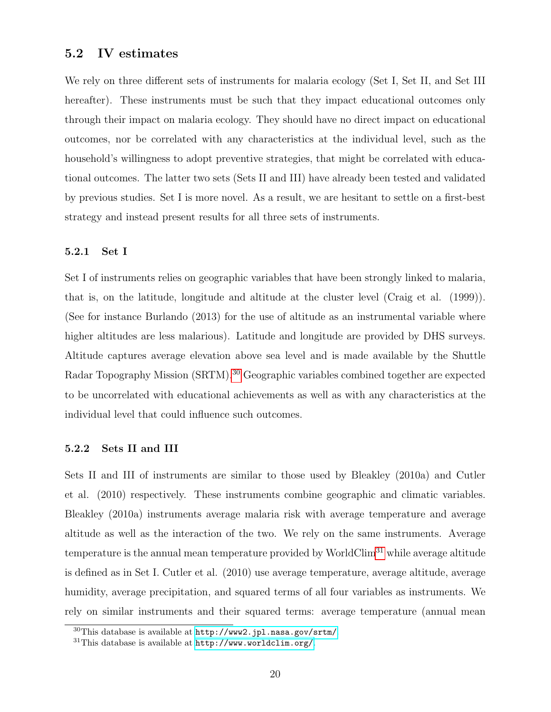## 5.2 IV estimates

We rely on three different sets of instruments for malaria ecology (Set I, Set II, and Set III hereafter). These instruments must be such that they impact educational outcomes only through their impact on malaria ecology. They should have no direct impact on educational outcomes, nor be correlated with any characteristics at the individual level, such as the household's willingness to adopt preventive strategies, that might be correlated with educational outcomes. The latter two sets (Sets II and III) have already been tested and validated by previous studies. Set I is more novel. As a result, we are hesitant to settle on a first-best strategy and instead present results for all three sets of instruments.

#### 5.2.1 Set I

Set I of instruments relies on geographic variables that have been strongly linked to malaria, that is, on the latitude, longitude and altitude at the cluster level (Craig et al. (1999)). (See for instance Burlando (2013) for the use of altitude as an instrumental variable where higher altitudes are less malarious). Latitude and longitude are provided by DHS surveys. Altitude captures average elevation above sea level and is made available by the Shuttle Radar Topography Mission (SRTM).<sup>[30](#page-0-0)</sup> Geographic variables combined together are expected to be uncorrelated with educational achievements as well as with any characteristics at the individual level that could influence such outcomes.

#### 5.2.2 Sets II and III

Sets II and III of instruments are similar to those used by Bleakley (2010a) and Cutler et al. (2010) respectively. These instruments combine geographic and climatic variables. Bleakley (2010a) instruments average malaria risk with average temperature and average altitude as well as the interaction of the two. We rely on the same instruments. Average temperature is the annual mean temperature provided by WorldClim<sup>[31](#page-0-0)</sup> while average altitude is defined as in Set I. Cutler et al. (2010) use average temperature, average altitude, average humidity, average precipitation, and squared terms of all four variables as instruments. We rely on similar instruments and their squared terms: average temperature (annual mean

 $30$ This database is available at  $http://www2.jpl.nasa.gov/srtm/.$  $http://www2.jpl.nasa.gov/srtm/.$ 

<sup>31</sup>This database is available at <http://www.worldclim.org/>.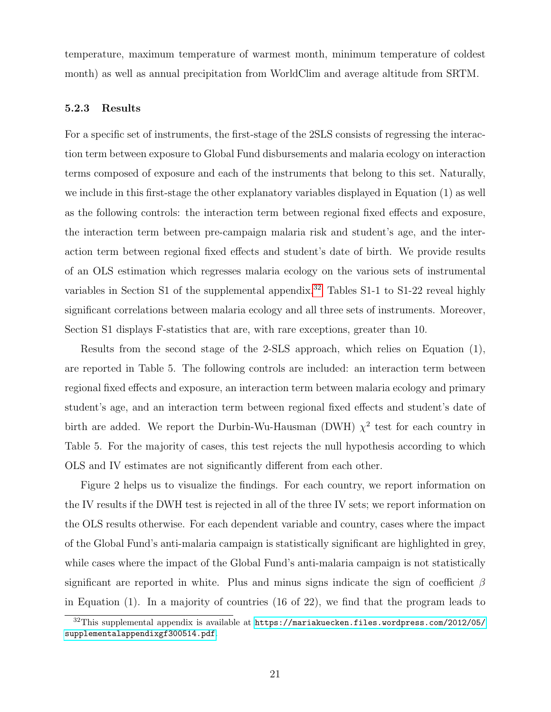temperature, maximum temperature of warmest month, minimum temperature of coldest month) as well as annual precipitation from WorldClim and average altitude from SRTM.

#### 5.2.3 Results

For a specific set of instruments, the first-stage of the 2SLS consists of regressing the interaction term between exposure to Global Fund disbursements and malaria ecology on interaction terms composed of exposure and each of the instruments that belong to this set. Naturally, we include in this first-stage the other explanatory variables displayed in Equation (1) as well as the following controls: the interaction term between regional fixed effects and exposure, the interaction term between pre-campaign malaria risk and student's age, and the interaction term between regional fixed effects and student's date of birth. We provide results of an OLS estimation which regresses malaria ecology on the various sets of instrumental variables in Section S1 of the supplemental appendix.<sup>[32](#page-0-0)</sup> Tables S1-1 to S1-22 reveal highly significant correlations between malaria ecology and all three sets of instruments. Moreover, Section S1 displays F-statistics that are, with rare exceptions, greater than 10.

Results from the second stage of the 2-SLS approach, which relies on Equation (1), are reported in Table 5. The following controls are included: an interaction term between regional fixed effects and exposure, an interaction term between malaria ecology and primary student's age, and an interaction term between regional fixed effects and student's date of birth are added. We report the Durbin-Wu-Hausman (DWH)  $\chi^2$  test for each country in Table 5. For the majority of cases, this test rejects the null hypothesis according to which OLS and IV estimates are not significantly different from each other.

Figure 2 helps us to visualize the findings. For each country, we report information on the IV results if the DWH test is rejected in all of the three IV sets; we report information on the OLS results otherwise. For each dependent variable and country, cases where the impact of the Global Fund's anti-malaria campaign is statistically significant are highlighted in grey, while cases where the impact of the Global Fund's anti-malaria campaign is not statistically significant are reported in white. Plus and minus signs indicate the sign of coefficient  $\beta$ in Equation (1). In a majority of countries (16 of 22), we find that the program leads to

<sup>32</sup>This supplemental appendix is available at [https://mariakuecken.files.wordpress.com/2012/05/](https://mariakuecken.files.wordpress.com/2012/05/supplementalappendixgf300514.pdf) [supplementalappendixgf300514.pdf](https://mariakuecken.files.wordpress.com/2012/05/supplementalappendixgf300514.pdf).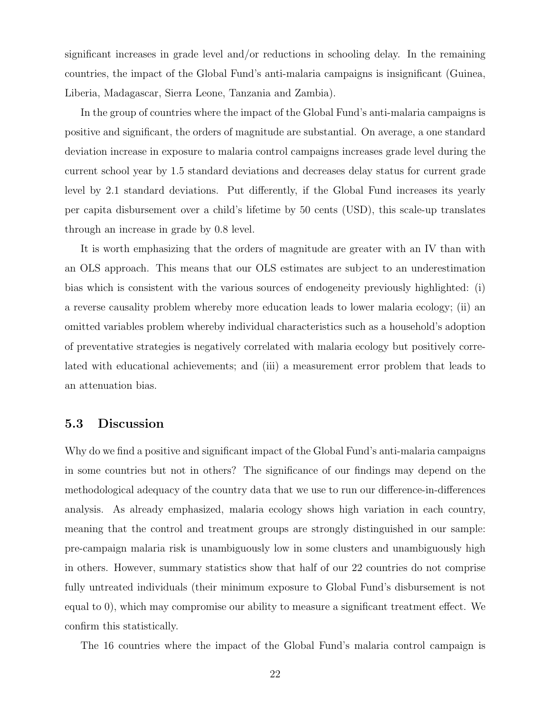significant increases in grade level and/or reductions in schooling delay. In the remaining countries, the impact of the Global Fund's anti-malaria campaigns is insignificant (Guinea, Liberia, Madagascar, Sierra Leone, Tanzania and Zambia).

In the group of countries where the impact of the Global Fund's anti-malaria campaigns is positive and significant, the orders of magnitude are substantial. On average, a one standard deviation increase in exposure to malaria control campaigns increases grade level during the current school year by 1.5 standard deviations and decreases delay status for current grade level by 2.1 standard deviations. Put differently, if the Global Fund increases its yearly per capita disbursement over a child's lifetime by 50 cents (USD), this scale-up translates through an increase in grade by 0.8 level.

It is worth emphasizing that the orders of magnitude are greater with an IV than with an OLS approach. This means that our OLS estimates are subject to an underestimation bias which is consistent with the various sources of endogeneity previously highlighted: (i) a reverse causality problem whereby more education leads to lower malaria ecology; (ii) an omitted variables problem whereby individual characteristics such as a household's adoption of preventative strategies is negatively correlated with malaria ecology but positively correlated with educational achievements; and (iii) a measurement error problem that leads to an attenuation bias.

#### 5.3 Discussion

Why do we find a positive and significant impact of the Global Fund's anti-malaria campaigns in some countries but not in others? The significance of our findings may depend on the methodological adequacy of the country data that we use to run our difference-in-differences analysis. As already emphasized, malaria ecology shows high variation in each country, meaning that the control and treatment groups are strongly distinguished in our sample: pre-campaign malaria risk is unambiguously low in some clusters and unambiguously high in others. However, summary statistics show that half of our 22 countries do not comprise fully untreated individuals (their minimum exposure to Global Fund's disbursement is not equal to 0), which may compromise our ability to measure a significant treatment effect. We confirm this statistically.

The 16 countries where the impact of the Global Fund's malaria control campaign is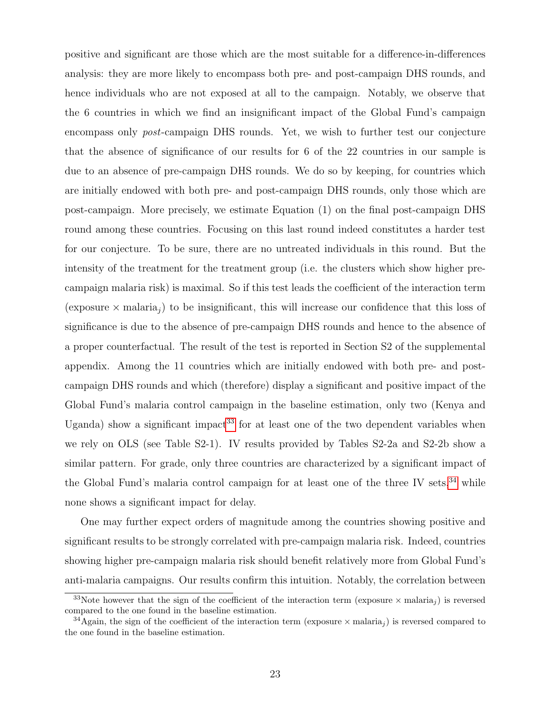positive and significant are those which are the most suitable for a difference-in-differences analysis: they are more likely to encompass both pre- and post-campaign DHS rounds, and hence individuals who are not exposed at all to the campaign. Notably, we observe that the 6 countries in which we find an insignificant impact of the Global Fund's campaign encompass only post-campaign DHS rounds. Yet, we wish to further test our conjecture that the absence of significance of our results for 6 of the 22 countries in our sample is due to an absence of pre-campaign DHS rounds. We do so by keeping, for countries which are initially endowed with both pre- and post-campaign DHS rounds, only those which are post-campaign. More precisely, we estimate Equation (1) on the final post-campaign DHS round among these countries. Focusing on this last round indeed constitutes a harder test for our conjecture. To be sure, there are no untreated individuals in this round. But the intensity of the treatment for the treatment group (i.e. the clusters which show higher precampaign malaria risk) is maximal. So if this test leads the coefficient of the interaction term (exposure  $\times$  malaria<sub>i</sub>) to be insignificant, this will increase our confidence that this loss of significance is due to the absence of pre-campaign DHS rounds and hence to the absence of a proper counterfactual. The result of the test is reported in Section S2 of the supplemental appendix. Among the 11 countries which are initially endowed with both pre- and postcampaign DHS rounds and which (therefore) display a significant and positive impact of the Global Fund's malaria control campaign in the baseline estimation, only two (Kenya and Uganda) show a significant impact<sup>[33](#page-0-0)</sup> for at least one of the two dependent variables when we rely on OLS (see Table S2-1). IV results provided by Tables S2-2a and S2-2b show a similar pattern. For grade, only three countries are characterized by a significant impact of the Global Fund's malaria control campaign for at least one of the three IV sets,  $34$  while none shows a significant impact for delay.

One may further expect orders of magnitude among the countries showing positive and significant results to be strongly correlated with pre-campaign malaria risk. Indeed, countries showing higher pre-campaign malaria risk should benefit relatively more from Global Fund's anti-malaria campaigns. Our results confirm this intuition. Notably, the correlation between

<sup>&</sup>lt;sup>33</sup>Note however that the sign of the coefficient of the interaction term (exposure  $\times$  malaria<sub>j</sub>) is reversed compared to the one found in the baseline estimation.

<sup>&</sup>lt;sup>34</sup>Again, the sign of the coefficient of the interaction term (exposure  $\times$  malaria<sub>j</sub>) is reversed compared to the one found in the baseline estimation.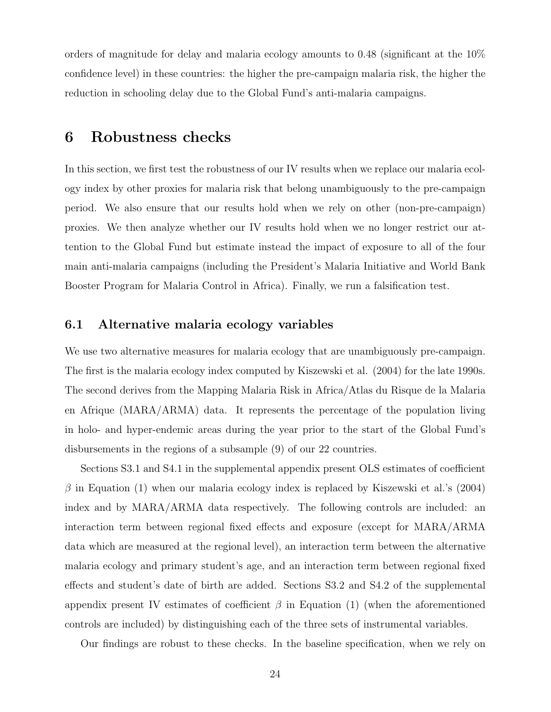orders of magnitude for delay and malaria ecology amounts to 0.48 (significant at the 10% confidence level) in these countries: the higher the pre-campaign malaria risk, the higher the reduction in schooling delay due to the Global Fund's anti-malaria campaigns.

## 6 Robustness checks

In this section, we first test the robustness of our IV results when we replace our malaria ecology index by other proxies for malaria risk that belong unambiguously to the pre-campaign period. We also ensure that our results hold when we rely on other (non-pre-campaign) proxies. We then analyze whether our IV results hold when we no longer restrict our attention to the Global Fund but estimate instead the impact of exposure to all of the four main anti-malaria campaigns (including the President's Malaria Initiative and World Bank Booster Program for Malaria Control in Africa). Finally, we run a falsification test.

#### 6.1 Alternative malaria ecology variables

We use two alternative measures for malaria ecology that are unambiguously pre-campaign. The first is the malaria ecology index computed by Kiszewski et al. (2004) for the late 1990s. The second derives from the Mapping Malaria Risk in Africa/Atlas du Risque de la Malaria en Afrique (MARA/ARMA) data. It represents the percentage of the population living in holo- and hyper-endemic areas during the year prior to the start of the Global Fund's disbursements in the regions of a subsample (9) of our 22 countries.

Sections S3.1 and S4.1 in the supplemental appendix present OLS estimates of coefficient  $\beta$  in Equation (1) when our malaria ecology index is replaced by Kiszewski et al.'s (2004) index and by MARA/ARMA data respectively. The following controls are included: an interaction term between regional fixed effects and exposure (except for MARA/ARMA data which are measured at the regional level), an interaction term between the alternative malaria ecology and primary student's age, and an interaction term between regional fixed effects and student's date of birth are added. Sections S3.2 and S4.2 of the supplemental appendix present IV estimates of coefficient  $\beta$  in Equation (1) (when the aforementioned controls are included) by distinguishing each of the three sets of instrumental variables.

Our findings are robust to these checks. In the baseline specification, when we rely on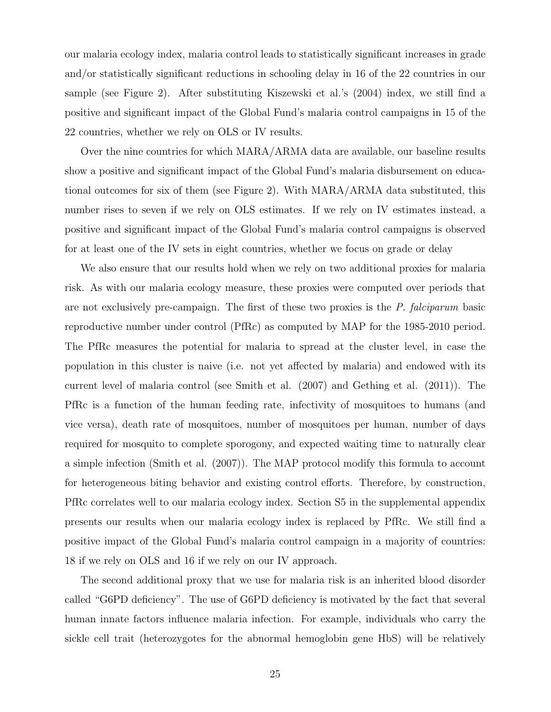our malaria ecology index, malaria control leads to statistically significant increases in grade and/or statistically significant reductions in schooling delay in 16 of the 22 countries in our sample (see Figure 2). After substituting Kiszewski et al.'s (2004) index, we still find a positive and significant impact of the Global Fund's malaria control campaigns in 15 of the 22 countries, whether we rely on OLS or IV results.

Over the nine countries for which MARA/ARMA data are available, our baseline results show a positive and significant impact of the Global Fund's malaria disbursement on educational outcomes for six of them (see Figure 2). With MARA/ARMA data substituted, this number rises to seven if we rely on OLS estimates. If we rely on IV estimates instead, a positive and significant impact of the Global Fund's malaria control campaigns is observed for at least one of the IV sets in eight countries, whether we focus on grade or delay

We also ensure that our results hold when we rely on two additional proxies for malaria risk. As with our malaria ecology measure, these proxies were computed over periods that are not exclusively pre-campaign. The first of these two proxies is the P. falciparum basic reproductive number under control (PfRc) as computed by MAP for the 1985-2010 period. The PfRc measures the potential for malaria to spread at the cluster level, in case the population in this cluster is naive (i.e. not yet affected by malaria) and endowed with its current level of malaria control (see Smith et al. (2007) and Gething et al. (2011)). The PfRc is a function of the human feeding rate, infectivity of mosquitoes to humans (and vice versa), death rate of mosquitoes, number of mosquitoes per human, number of days required for mosquito to complete sporogony, and expected waiting time to naturally clear a simple infection (Smith et al. (2007)). The MAP protocol modify this formula to account for heterogeneous biting behavior and existing control efforts. Therefore, by construction, PfRc correlates well to our malaria ecology index. Section S5 in the supplemental appendix presents our results when our malaria ecology index is replaced by PfRc. We still find a positive impact of the Global Fund's malaria control campaign in a majority of countries: 18 if we rely on OLS and 16 if we rely on our IV approach.

The second additional proxy that we use for malaria risk is an inherited blood disorder called "G6PD deficiency". The use of G6PD deficiency is motivated by the fact that several human innate factors influence malaria infection. For example, individuals who carry the sickle cell trait (heterozygotes for the abnormal hemoglobin gene HbS) will be relatively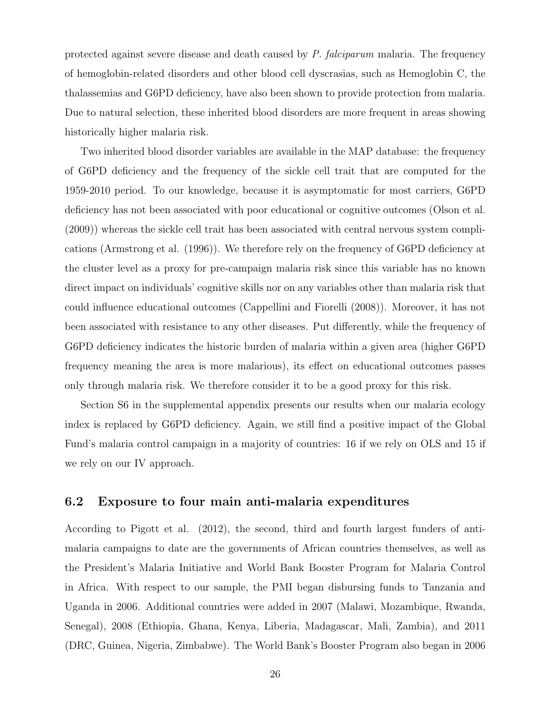protected against severe disease and death caused by P. falciparum malaria. The frequency of hemoglobin-related disorders and other blood cell dyscrasias, such as Hemoglobin C, the thalassemias and G6PD deficiency, have also been shown to provide protection from malaria. Due to natural selection, these inherited blood disorders are more frequent in areas showing historically higher malaria risk.

Two inherited blood disorder variables are available in the MAP database: the frequency of G6PD deficiency and the frequency of the sickle cell trait that are computed for the 1959-2010 period. To our knowledge, because it is asymptomatic for most carriers, G6PD deficiency has not been associated with poor educational or cognitive outcomes (Olson et al. (2009)) whereas the sickle cell trait has been associated with central nervous system complications (Armstrong et al. (1996)). We therefore rely on the frequency of G6PD deficiency at the cluster level as a proxy for pre-campaign malaria risk since this variable has no known direct impact on individuals' cognitive skills nor on any variables other than malaria risk that could influence educational outcomes (Cappellini and Fiorelli (2008)). Moreover, it has not been associated with resistance to any other diseases. Put differently, while the frequency of G6PD deficiency indicates the historic burden of malaria within a given area (higher G6PD frequency meaning the area is more malarious), its effect on educational outcomes passes only through malaria risk. We therefore consider it to be a good proxy for this risk.

Section S6 in the supplemental appendix presents our results when our malaria ecology index is replaced by G6PD deficiency. Again, we still find a positive impact of the Global Fund's malaria control campaign in a majority of countries: 16 if we rely on OLS and 15 if we rely on our IV approach.

#### 6.2 Exposure to four main anti-malaria expenditures

According to Pigott et al. (2012), the second, third and fourth largest funders of antimalaria campaigns to date are the governments of African countries themselves, as well as the President's Malaria Initiative and World Bank Booster Program for Malaria Control in Africa. With respect to our sample, the PMI began disbursing funds to Tanzania and Uganda in 2006. Additional countries were added in 2007 (Malawi, Mozambique, Rwanda, Senegal), 2008 (Ethiopia, Ghana, Kenya, Liberia, Madagascar, Mali, Zambia), and 2011 (DRC, Guinea, Nigeria, Zimbabwe). The World Bank's Booster Program also began in 2006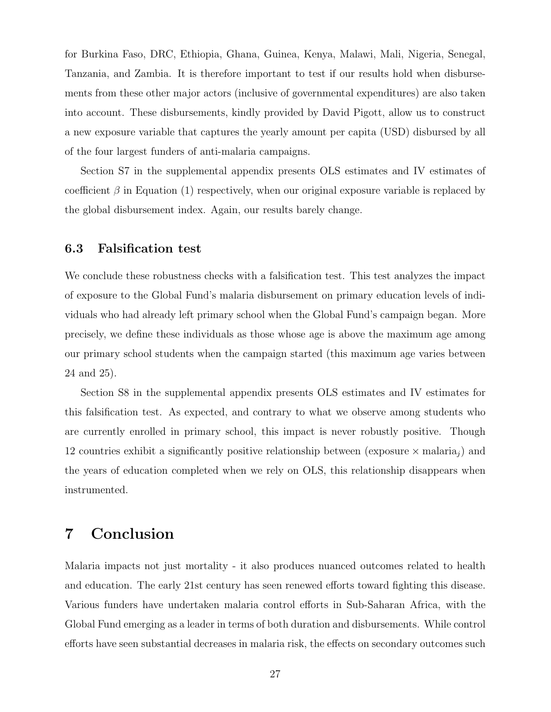for Burkina Faso, DRC, Ethiopia, Ghana, Guinea, Kenya, Malawi, Mali, Nigeria, Senegal, Tanzania, and Zambia. It is therefore important to test if our results hold when disbursements from these other major actors (inclusive of governmental expenditures) are also taken into account. These disbursements, kindly provided by David Pigott, allow us to construct a new exposure variable that captures the yearly amount per capita (USD) disbursed by all of the four largest funders of anti-malaria campaigns.

Section S7 in the supplemental appendix presents OLS estimates and IV estimates of coefficient  $\beta$  in Equation (1) respectively, when our original exposure variable is replaced by the global disbursement index. Again, our results barely change.

### 6.3 Falsification test

We conclude these robustness checks with a falsification test. This test analyzes the impact of exposure to the Global Fund's malaria disbursement on primary education levels of individuals who had already left primary school when the Global Fund's campaign began. More precisely, we define these individuals as those whose age is above the maximum age among our primary school students when the campaign started (this maximum age varies between 24 and 25).

Section S8 in the supplemental appendix presents OLS estimates and IV estimates for this falsification test. As expected, and contrary to what we observe among students who are currently enrolled in primary school, this impact is never robustly positive. Though 12 countries exhibit a significantly positive relationship between (exposure  $\times$  malaria<sub>i</sub>) and the years of education completed when we rely on OLS, this relationship disappears when instrumented.

# 7 Conclusion

Malaria impacts not just mortality - it also produces nuanced outcomes related to health and education. The early 21st century has seen renewed efforts toward fighting this disease. Various funders have undertaken malaria control efforts in Sub-Saharan Africa, with the Global Fund emerging as a leader in terms of both duration and disbursements. While control efforts have seen substantial decreases in malaria risk, the effects on secondary outcomes such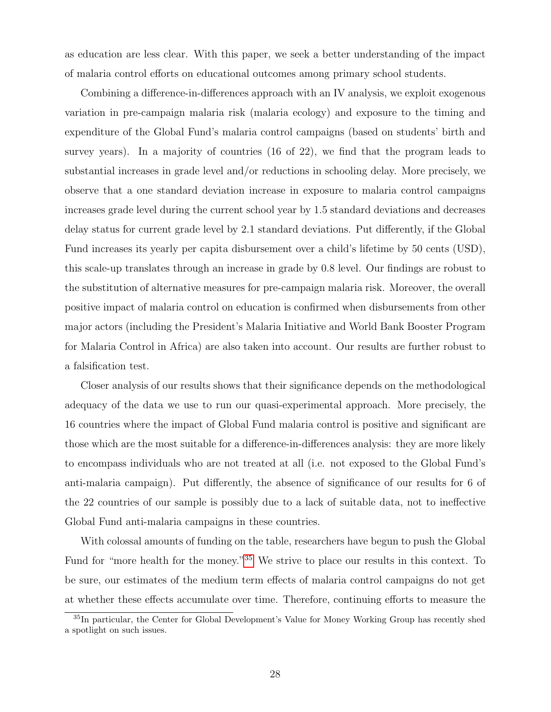as education are less clear. With this paper, we seek a better understanding of the impact of malaria control efforts on educational outcomes among primary school students.

Combining a difference-in-differences approach with an IV analysis, we exploit exogenous variation in pre-campaign malaria risk (malaria ecology) and exposure to the timing and expenditure of the Global Fund's malaria control campaigns (based on students' birth and survey years). In a majority of countries (16 of 22), we find that the program leads to substantial increases in grade level and/or reductions in schooling delay. More precisely, we observe that a one standard deviation increase in exposure to malaria control campaigns increases grade level during the current school year by 1.5 standard deviations and decreases delay status for current grade level by 2.1 standard deviations. Put differently, if the Global Fund increases its yearly per capita disbursement over a child's lifetime by 50 cents (USD), this scale-up translates through an increase in grade by 0.8 level. Our findings are robust to the substitution of alternative measures for pre-campaign malaria risk. Moreover, the overall positive impact of malaria control on education is confirmed when disbursements from other major actors (including the President's Malaria Initiative and World Bank Booster Program for Malaria Control in Africa) are also taken into account. Our results are further robust to a falsification test.

Closer analysis of our results shows that their significance depends on the methodological adequacy of the data we use to run our quasi-experimental approach. More precisely, the 16 countries where the impact of Global Fund malaria control is positive and significant are those which are the most suitable for a difference-in-differences analysis: they are more likely to encompass individuals who are not treated at all (i.e. not exposed to the Global Fund's anti-malaria campaign). Put differently, the absence of significance of our results for 6 of the 22 countries of our sample is possibly due to a lack of suitable data, not to ineffective Global Fund anti-malaria campaigns in these countries.

With colossal amounts of funding on the table, researchers have begun to push the Global Fund for "more health for the money."[35](#page-0-0) We strive to place our results in this context. To be sure, our estimates of the medium term effects of malaria control campaigns do not get at whether these effects accumulate over time. Therefore, continuing efforts to measure the

<sup>35</sup>In particular, the Center for Global Development's Value for Money Working Group has recently shed a spotlight on such issues.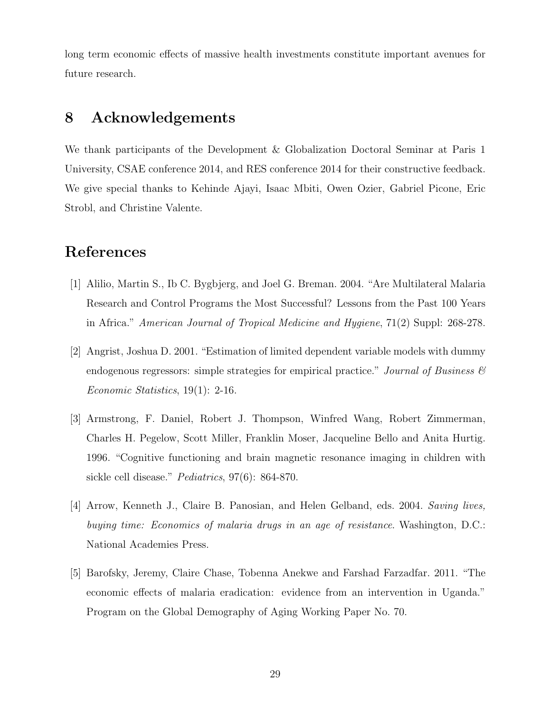long term economic effects of massive health investments constitute important avenues for future research.

## 8 Acknowledgements

We thank participants of the Development & Globalization Doctoral Seminar at Paris 1 University, CSAE conference 2014, and RES conference 2014 for their constructive feedback. We give special thanks to Kehinde Ajayi, Isaac Mbiti, Owen Ozier, Gabriel Picone, Eric Strobl, and Christine Valente.

## References

- [1] Alilio, Martin S., Ib C. Bygbjerg, and Joel G. Breman. 2004. "Are Multilateral Malaria Research and Control Programs the Most Successful? Lessons from the Past 100 Years in Africa." American Journal of Tropical Medicine and Hygiene, 71(2) Suppl: 268-278.
- [2] Angrist, Joshua D. 2001. "Estimation of limited dependent variable models with dummy endogenous regressors: simple strategies for empirical practice." Journal of Business  $\mathcal C$ Economic Statistics, 19(1): 2-16.
- [3] Armstrong, F. Daniel, Robert J. Thompson, Winfred Wang, Robert Zimmerman, Charles H. Pegelow, Scott Miller, Franklin Moser, Jacqueline Bello and Anita Hurtig. 1996. "Cognitive functioning and brain magnetic resonance imaging in children with sickle cell disease." *Pediatrics*, 97(6): 864-870.
- [4] Arrow, Kenneth J., Claire B. Panosian, and Helen Gelband, eds. 2004. Saving lives, buying time: Economics of malaria drugs in an age of resistance. Washington, D.C.: National Academies Press.
- [5] Barofsky, Jeremy, Claire Chase, Tobenna Anekwe and Farshad Farzadfar. 2011. "The economic effects of malaria eradication: evidence from an intervention in Uganda." Program on the Global Demography of Aging Working Paper No. 70.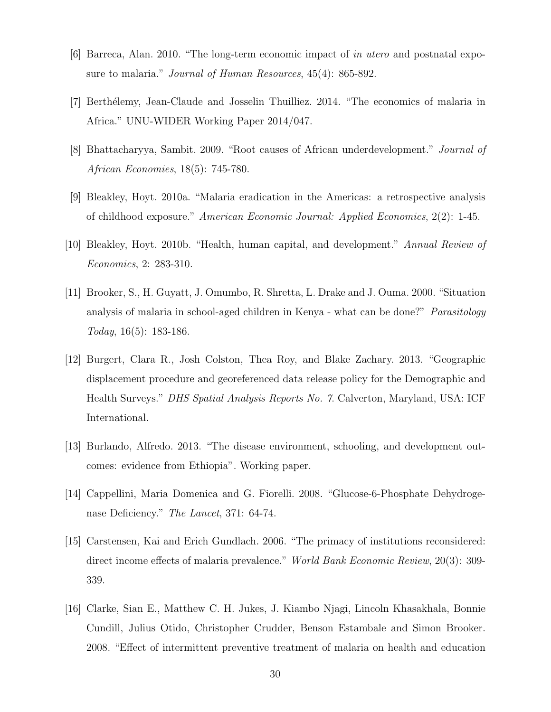- [6] Barreca, Alan. 2010. "The long-term economic impact of in utero and postnatal exposure to malaria." *Journal of Human Resources*, 45(4): 865-892.
- [7] Berthélemy, Jean-Claude and Josselin Thuilliez. 2014. "The economics of malaria in Africa." UNU-WIDER Working Paper 2014/047.
- [8] Bhattacharyya, Sambit. 2009. "Root causes of African underdevelopment." Journal of African Economies, 18(5): 745-780.
- [9] Bleakley, Hoyt. 2010a. "Malaria eradication in the Americas: a retrospective analysis of childhood exposure." American Economic Journal: Applied Economics, 2(2): 1-45.
- [10] Bleakley, Hoyt. 2010b. "Health, human capital, and development." Annual Review of Economics, 2: 283-310.
- [11] Brooker, S., H. Guyatt, J. Omumbo, R. Shretta, L. Drake and J. Ouma. 2000. "Situation analysis of malaria in school-aged children in Kenya - what can be done?" Parasitology Today, 16(5): 183-186.
- [12] Burgert, Clara R., Josh Colston, Thea Roy, and Blake Zachary. 2013. "Geographic displacement procedure and georeferenced data release policy for the Demographic and Health Surveys." DHS Spatial Analysis Reports No. 7. Calverton, Maryland, USA: ICF International.
- [13] Burlando, Alfredo. 2013. "The disease environment, schooling, and development outcomes: evidence from Ethiopia". Working paper.
- [14] Cappellini, Maria Domenica and G. Fiorelli. 2008. "Glucose-6-Phosphate Dehydrogenase Deficiency." *The Lancet*, 371: 64-74.
- [15] Carstensen, Kai and Erich Gundlach. 2006. "The primacy of institutions reconsidered: direct income effects of malaria prevalence." World Bank Economic Review, 20(3): 309- 339.
- [16] Clarke, Sian E., Matthew C. H. Jukes, J. Kiambo Njagi, Lincoln Khasakhala, Bonnie Cundill, Julius Otido, Christopher Crudder, Benson Estambale and Simon Brooker. 2008. "Effect of intermittent preventive treatment of malaria on health and education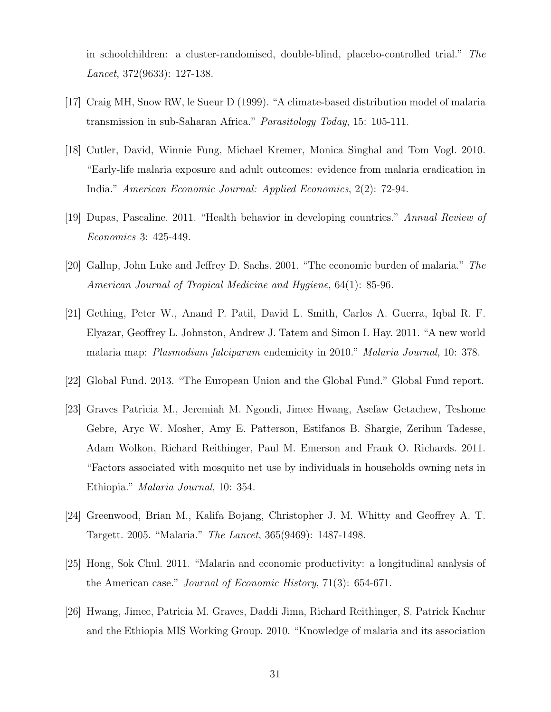in schoolchildren: a cluster-randomised, double-blind, placebo-controlled trial." The Lancet, 372(9633): 127-138.

- [17] Craig MH, Snow RW, le Sueur D (1999). "A climate-based distribution model of malaria transmission in sub-Saharan Africa." Parasitology Today, 15: 105-111.
- [18] Cutler, David, Winnie Fung, Michael Kremer, Monica Singhal and Tom Vogl. 2010. "Early-life malaria exposure and adult outcomes: evidence from malaria eradication in India." American Economic Journal: Applied Economics, 2(2): 72-94.
- [19] Dupas, Pascaline. 2011. "Health behavior in developing countries." Annual Review of Economics 3: 425-449.
- [20] Gallup, John Luke and Jeffrey D. Sachs. 2001. "The economic burden of malaria." The American Journal of Tropical Medicine and Hygiene, 64(1): 85-96.
- [21] Gething, Peter W., Anand P. Patil, David L. Smith, Carlos A. Guerra, Iqbal R. F. Elyazar, Geoffrey L. Johnston, Andrew J. Tatem and Simon I. Hay. 2011. "A new world malaria map: Plasmodium falciparum endemicity in 2010." Malaria Journal, 10: 378.
- [22] Global Fund. 2013. "The European Union and the Global Fund." Global Fund report.
- [23] Graves Patricia M., Jeremiah M. Ngondi, Jimee Hwang, Asefaw Getachew, Teshome Gebre, Aryc W. Mosher, Amy E. Patterson, Estifanos B. Shargie, Zerihun Tadesse, Adam Wolkon, Richard Reithinger, Paul M. Emerson and Frank O. Richards. 2011. "Factors associated with mosquito net use by individuals in households owning nets in Ethiopia." Malaria Journal, 10: 354.
- [24] Greenwood, Brian M., Kalifa Bojang, Christopher J. M. Whitty and Geoffrey A. T. Targett. 2005. "Malaria." The Lancet, 365(9469): 1487-1498.
- [25] Hong, Sok Chul. 2011. "Malaria and economic productivity: a longitudinal analysis of the American case." Journal of Economic History, 71(3): 654-671.
- [26] Hwang, Jimee, Patricia M. Graves, Daddi Jima, Richard Reithinger, S. Patrick Kachur and the Ethiopia MIS Working Group. 2010. "Knowledge of malaria and its association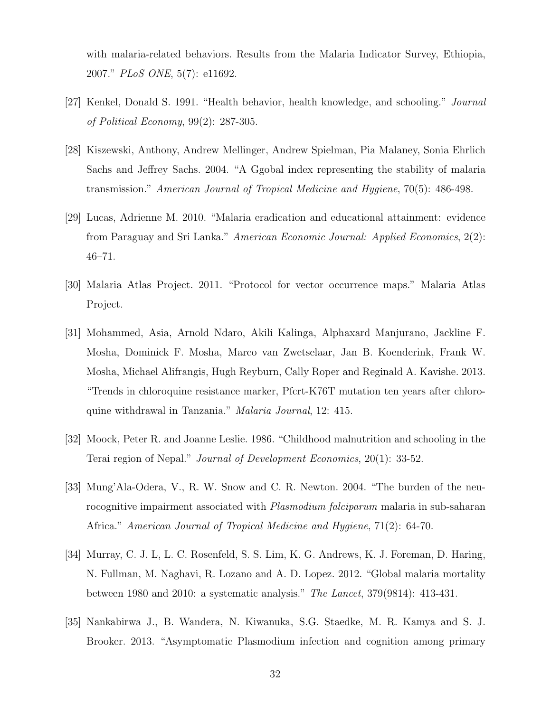with malaria-related behaviors. Results from the Malaria Indicator Survey, Ethiopia, 2007." PLoS ONE, 5(7): e11692.

- [27] Kenkel, Donald S. 1991. "Health behavior, health knowledge, and schooling." Journal of Political Economy, 99(2): 287-305.
- [28] Kiszewski, Anthony, Andrew Mellinger, Andrew Spielman, Pia Malaney, Sonia Ehrlich Sachs and Jeffrey Sachs. 2004. "A Ggobal index representing the stability of malaria transmission." American Journal of Tropical Medicine and Hygiene, 70(5): 486-498.
- [29] Lucas, Adrienne M. 2010. "Malaria eradication and educational attainment: evidence from Paraguay and Sri Lanka." American Economic Journal: Applied Economics, 2(2): 46–71.
- [30] Malaria Atlas Project. 2011. "Protocol for vector occurrence maps." Malaria Atlas Project.
- [31] Mohammed, Asia, Arnold Ndaro, Akili Kalinga, Alphaxard Manjurano, Jackline F. Mosha, Dominick F. Mosha, Marco van Zwetselaar, Jan B. Koenderink, Frank W. Mosha, Michael Alifrangis, Hugh Reyburn, Cally Roper and Reginald A. Kavishe. 2013. "Trends in chloroquine resistance marker, Pfcrt-K76T mutation ten years after chloroquine withdrawal in Tanzania." Malaria Journal, 12: 415.
- [32] Moock, Peter R. and Joanne Leslie. 1986. "Childhood malnutrition and schooling in the Terai region of Nepal." Journal of Development Economics, 20(1): 33-52.
- [33] Mung'Ala-Odera, V., R. W. Snow and C. R. Newton. 2004. "The burden of the neurocognitive impairment associated with *Plasmodium falciparum* malaria in sub-saharan Africa." American Journal of Tropical Medicine and Hygiene, 71(2): 64-70.
- [34] Murray, C. J. L, L. C. Rosenfeld, S. S. Lim, K. G. Andrews, K. J. Foreman, D. Haring, N. Fullman, M. Naghavi, R. Lozano and A. D. Lopez. 2012. "Global malaria mortality between 1980 and 2010: a systematic analysis." The Lancet, 379(9814): 413-431.
- [35] Nankabirwa J., B. Wandera, N. Kiwanuka, S.G. Staedke, M. R. Kamya and S. J. Brooker. 2013. "Asymptomatic Plasmodium infection and cognition among primary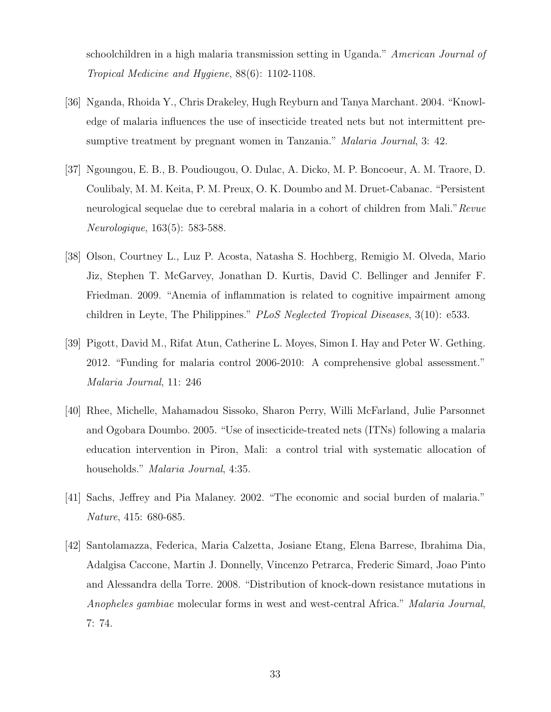schoolchildren in a high malaria transmission setting in Uganda." American Journal of Tropical Medicine and Hygiene, 88(6): 1102-1108.

- [36] Nganda, Rhoida Y., Chris Drakeley, Hugh Reyburn and Tanya Marchant. 2004. "Knowledge of malaria influences the use of insecticide treated nets but not intermittent presumptive treatment by pregnant women in Tanzania." Malaria Journal, 3: 42.
- [37] Ngoungou, E. B., B. Poudiougou, O. Dulac, A. Dicko, M. P. Boncoeur, A. M. Traore, D. Coulibaly, M. M. Keita, P. M. Preux, O. K. Doumbo and M. Druet-Cabanac. "Persistent neurological sequelae due to cerebral malaria in a cohort of children from Mali." Revue Neurologique, 163(5): 583-588.
- [38] Olson, Courtney L., Luz P. Acosta, Natasha S. Hochberg, Remigio M. Olveda, Mario Jiz, Stephen T. McGarvey, Jonathan D. Kurtis, David C. Bellinger and Jennifer F. Friedman. 2009. "Anemia of inflammation is related to cognitive impairment among children in Leyte, The Philippines."  $PLoS$  Neglected Tropical Diseases, 3(10): e533.
- [39] Pigott, David M., Rifat Atun, Catherine L. Moyes, Simon I. Hay and Peter W. Gething. 2012. "Funding for malaria control 2006-2010: A comprehensive global assessment." Malaria Journal, 11: 246
- [40] Rhee, Michelle, Mahamadou Sissoko, Sharon Perry, Willi McFarland, Julie Parsonnet and Ogobara Doumbo. 2005. "Use of insecticide-treated nets (ITNs) following a malaria education intervention in Piron, Mali: a control trial with systematic allocation of households." *Malaria Journal*, 4:35.
- [41] Sachs, Jeffrey and Pia Malaney. 2002. "The economic and social burden of malaria." Nature, 415: 680-685.
- [42] Santolamazza, Federica, Maria Calzetta, Josiane Etang, Elena Barrese, Ibrahima Dia, Adalgisa Caccone, Martin J. Donnelly, Vincenzo Petrarca, Frederic Simard, Joao Pinto and Alessandra della Torre. 2008. "Distribution of knock-down resistance mutations in Anopheles gambiae molecular forms in west and west-central Africa." Malaria Journal, 7: 74.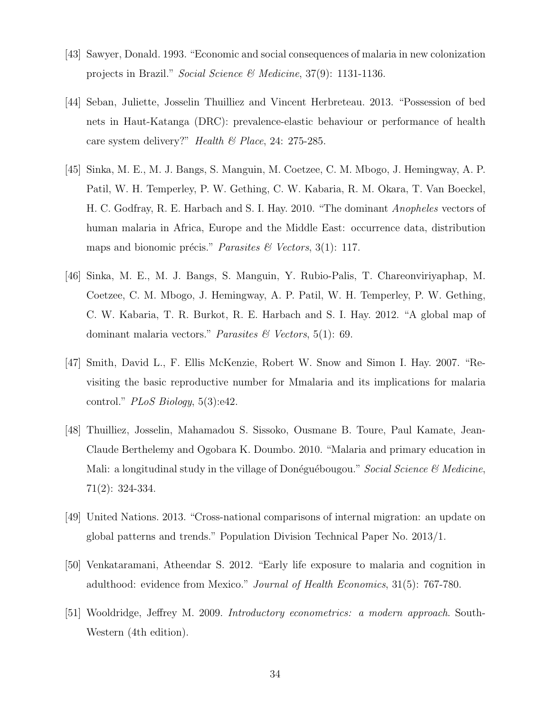- [43] Sawyer, Donald. 1993. "Economic and social consequences of malaria in new colonization projects in Brazil." Social Science & Medicine, 37(9): 1131-1136.
- [44] Seban, Juliette, Josselin Thuilliez and Vincent Herbreteau. 2013. "Possession of bed nets in Haut-Katanga (DRC): prevalence-elastic behaviour or performance of health care system delivery?" Health  $\mathcal B$  Place, 24: 275-285.
- [45] Sinka, M. E., M. J. Bangs, S. Manguin, M. Coetzee, C. M. Mbogo, J. Hemingway, A. P. Patil, W. H. Temperley, P. W. Gething, C. W. Kabaria, R. M. Okara, T. Van Boeckel, H. C. Godfray, R. E. Harbach and S. I. Hay. 2010. "The dominant Anopheles vectors of human malaria in Africa, Europe and the Middle East: occurrence data, distribution maps and bionomic précis." Parasites & Vectors, 3(1): 117.
- [46] Sinka, M. E., M. J. Bangs, S. Manguin, Y. Rubio-Palis, T. Chareonviriyaphap, M. Coetzee, C. M. Mbogo, J. Hemingway, A. P. Patil, W. H. Temperley, P. W. Gething, C. W. Kabaria, T. R. Burkot, R. E. Harbach and S. I. Hay. 2012. "A global map of dominant malaria vectors." Parasites & Vectors,  $5(1)$ : 69.
- [47] Smith, David L., F. Ellis McKenzie, Robert W. Snow and Simon I. Hay. 2007. "Revisiting the basic reproductive number for Mmalaria and its implications for malaria control."  $PLoS Biology, 5(3):e42.$
- [48] Thuilliez, Josselin, Mahamadou S. Sissoko, Ousmane B. Toure, Paul Kamate, Jean-Claude Berthelemy and Ogobara K. Doumbo. 2010. "Malaria and primary education in Mali: a longitudinal study in the village of Donéguébougou." Social Science  $\mathcal{C}$  Medicine, 71(2): 324-334.
- [49] United Nations. 2013. "Cross-national comparisons of internal migration: an update on global patterns and trends." Population Division Technical Paper No. 2013/1.
- [50] Venkataramani, Atheendar S. 2012. "Early life exposure to malaria and cognition in adulthood: evidence from Mexico." Journal of Health Economics, 31(5): 767-780.
- [51] Wooldridge, Jeffrey M. 2009. Introductory econometrics: a modern approach. South-Western (4th edition).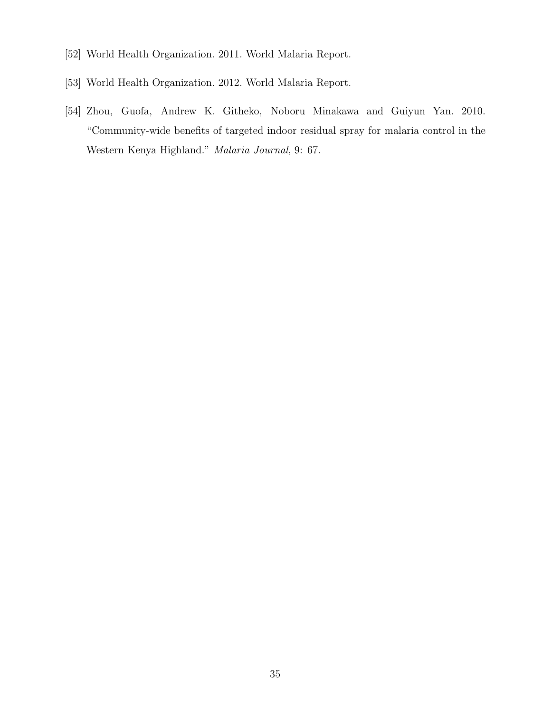- [52] World Health Organization. 2011. World Malaria Report.
- [53] World Health Organization. 2012. World Malaria Report.
- [54] Zhou, Guofa, Andrew K. Githeko, Noboru Minakawa and Guiyun Yan. 2010. "Community-wide benefits of targeted indoor residual spray for malaria control in the Western Kenya Highland." Malaria Journal, 9: 67.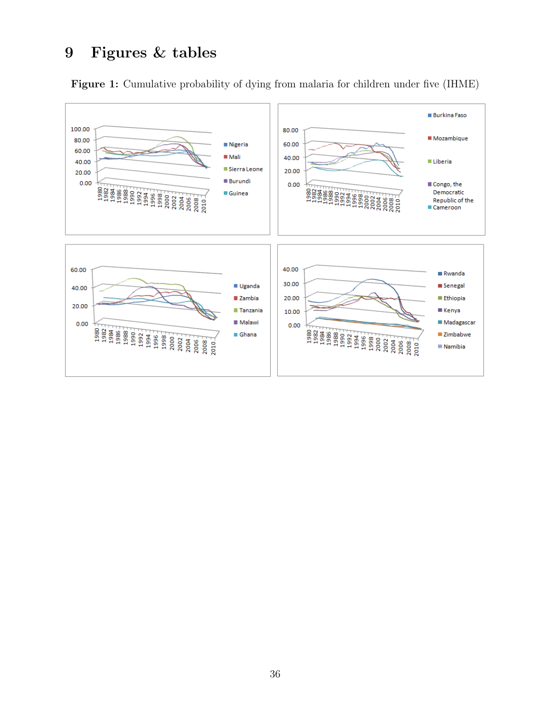# 9 Figures & tables

Figure 1: Cumulative probability of dying from malaria for children under five (IHME)

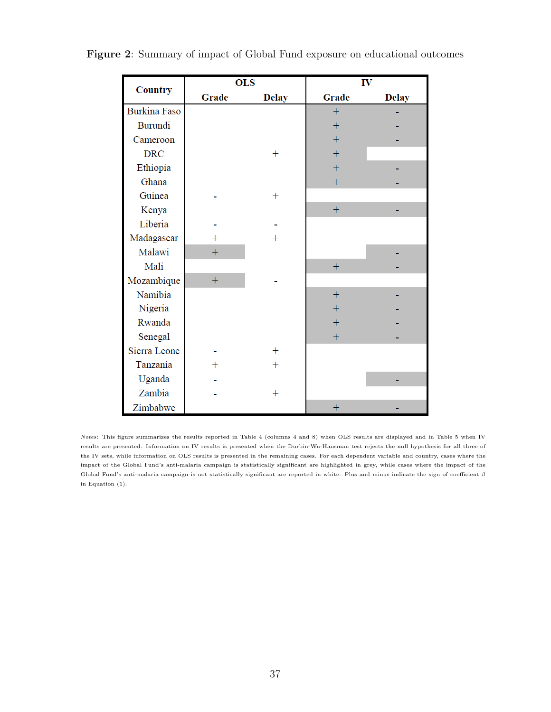|                     |                | <b>OLS</b>   |        | IV           |
|---------------------|----------------|--------------|--------|--------------|
| <b>Country</b>      | Grade          | <b>Delay</b> | Grade  | <b>Delay</b> |
| <b>Burkina Faso</b> |                |              | $^{+}$ |              |
| Burundi             |                |              | $^{+}$ |              |
| Cameroon            |                |              | $^{+}$ |              |
| <b>DRC</b>          |                | $\pm$        | $^{+}$ |              |
| Ethiopia            |                |              | $^{+}$ |              |
| Ghana               |                |              | $+$    |              |
| Guinea              |                | $\mathrm{+}$ |        |              |
| Kenya               |                |              | $+$    |              |
| Liberia             |                |              |        |              |
| Madagascar          |                | $\pm$        |        |              |
| Malawi              | $\overline{+}$ |              |        |              |
| Mali                |                |              | $^{+}$ |              |
| Mozambique          | $+$            |              |        |              |
| Namibia             |                |              | $^{+}$ |              |
| Nigeria             |                |              | $\pm$  |              |
| Rwanda              |                |              | $^{+}$ |              |
| Senegal             |                |              | $^{+}$ |              |
| Sierra Leone        |                | $\ddag$      |        |              |
| Tanzania            | $\pm$          | $+$          |        |              |
| Uganda              |                |              |        |              |
| Zambia              |                | $\pm$        |        |              |
| Zimbabwe            |                |              | $^{+}$ |              |

Figure 2: Summary of impact of Global Fund exposure on educational outcomes

Notes: This figure summarizes the results reported in Table 4 (columns 4 and 8) when OLS results are displayed and in Table 5 when IV results are presented. Information on IV results is presented when the Durbin-Wu-Hausman test rejects the null hypothesis for all three of the IV sets, while information on OLS results is presented in the remaining cases. For each dependent variable and country, cases where the impact of the Global Fund's anti-malaria campaign is statistically significant are highlighted in grey, while cases where the impact of the Global Fund's anti-malaria campaign is not statistically significant are reported in white. Plus and minus indicate the sign of coefficient  $\beta$ in Equation (1).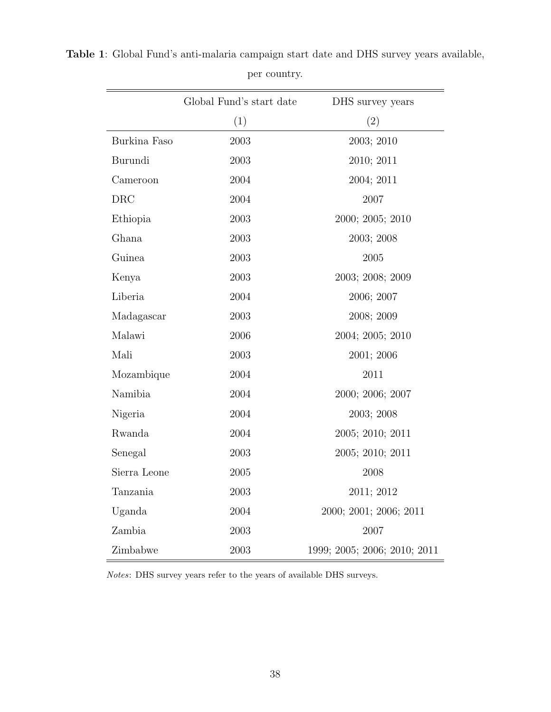|              | Global Fund's start date | DHS survey years             |
|--------------|--------------------------|------------------------------|
|              | (1)                      | (2)                          |
| Burkina Faso | 2003                     | 2003; 2010                   |
| Burundi      | 2003                     | 2010; 2011                   |
| Cameroon     | 2004                     | 2004; 2011                   |
| <b>DRC</b>   | 2004                     | 2007                         |
| Ethiopia     | 2003                     | 2000; 2005; 2010             |
| Ghana        | 2003                     | 2003; 2008                   |
| Guinea       | 2003                     | 2005                         |
| Kenya        | 2003                     | 2003; 2008; 2009             |
| Liberia      | 2004                     | 2006; 2007                   |
| Madagascar   | 2003                     | 2008; 2009                   |
| Malawi       | 2006                     | 2004; 2005; 2010             |
| Mali         | 2003                     | 2001; 2006                   |
| Mozambique   | 2004                     | 2011                         |
| Namibia      | 2004                     | 2000; 2006; 2007             |
| Nigeria      | 2004                     | 2003; 2008                   |
| Rwanda       | 2004                     | 2005; 2010; 2011             |
| Senegal      | 2003                     | 2005; 2010; 2011             |
| Sierra Leone | 2005                     | 2008                         |
| Tanzania     | 2003                     | 2011; 2012                   |
| Uganda       | 2004                     | 2000; 2001; 2006; 2011       |
| Zambia       | 2003                     | 2007                         |
| Zimbabwe     | 2003                     | 1999; 2005; 2006; 2010; 2011 |

Table 1: Global Fund's anti-malaria campaign start date and DHS survey years available,

per country.

Notes: DHS survey years refer to the years of available DHS surveys.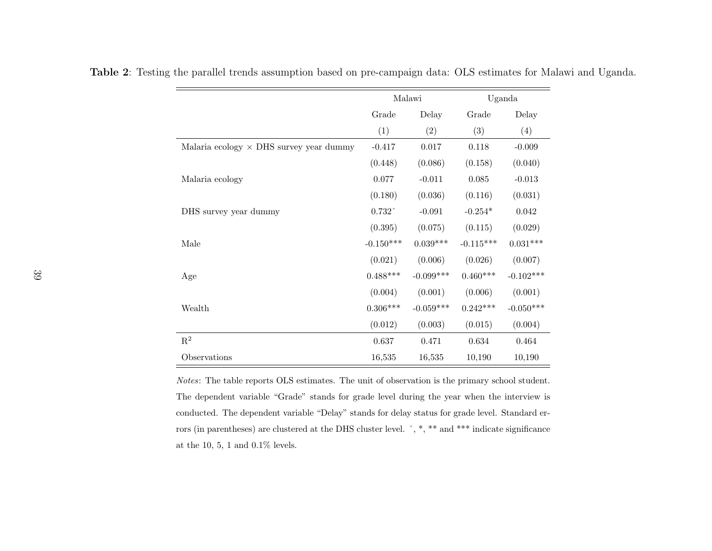|                                                |                   | Malawi      |             | Uganda      |
|------------------------------------------------|-------------------|-------------|-------------|-------------|
|                                                | Grade             | Delay       | Grade       | Delay       |
|                                                | (1)               | (2)         | (3)         | (4)         |
| Malaria ecology $\times$ DHS survey year dummy | $-0.417$          | 0.017       | 0.118       | $-0.009$    |
|                                                | (0.448)           | (0.086)     | (0.158)     | (0.040)     |
| Malaria ecology                                | 0.077             | $-0.011$    | 0.085       | $-0.013$    |
|                                                | (0.180)           | (0.036)     | (0.116)     | (0.031)     |
| DHS survey year dummy                          | $0.732^{\degree}$ | $-0.091$    | $-0.254*$   | 0.042       |
|                                                | (0.395)           | (0.075)     | (0.115)     | (0.029)     |
| Male                                           | $-0.150***$       | $0.039***$  | $-0.115***$ | $0.031***$  |
|                                                | (0.021)           | (0.006)     | (0.026)     | (0.007)     |
| Age                                            | $0.488***$        | $-0.099***$ | $0.460***$  | $-0.102***$ |
|                                                | (0.004)           | (0.001)     | (0.006)     | (0.001)     |
| Wealth                                         | $0.306***$        | $-0.059***$ | $0.242***$  | $-0.050***$ |
|                                                | (0.012)           | (0.003)     | (0.015)     | (0.004)     |
| $\mathbf{R}^2$                                 | 0.637             | 0.471       | 0.634       | 0.464       |
| Observations                                   | 16,535            | 16,535      | 10,190      | 10,190      |

Table <sup>2</sup>: Testing the parallel trends assumption based on pre-campaign data: OLS estimates for Malawi and Uganda.

Notes: The table reports OLS estimates. The unit of observation is the primary school student.The dependent variable "Grade" stands for grade level during the year when the interview isconducted. The dependent variable "Delay" stands for delay status for grade level. Standard errors (in parentheses) are clustered at the DHS cluster level. ^, \*, \*\* and \*\*\* indicate significance at the 10, 5, 1 and 0.1% levels.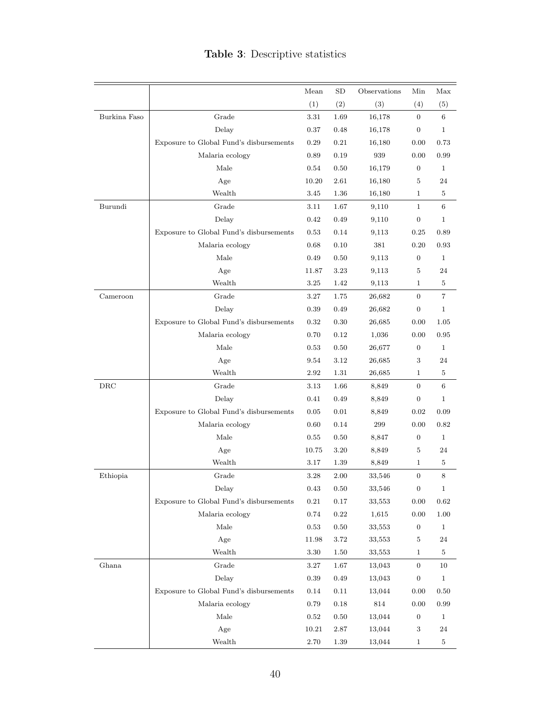|              |                                         | Mean       | SD   | Observations | Min              | Max            |
|--------------|-----------------------------------------|------------|------|--------------|------------------|----------------|
|              |                                         | (1)        | (2)  | (3)          | (4)              | (5)            |
| Burkina Faso | Grade                                   | 3.31       | 1.69 | 16,178       | $\overline{0}$   | 6              |
|              | Delay                                   | 0.37       | 0.48 | 16,178       | $\boldsymbol{0}$ | $\mathbf{1}$   |
|              | Exposure to Global Fund's disbursements | 0.29       | 0.21 | 16,180       | 0.00             | 0.73           |
|              | Malaria ecology                         | 0.89       | 0.19 | 939          | 0.00             | 0.99           |
|              | Male                                    | 0.54       | 0.50 | 16,179       | $\boldsymbol{0}$ | $\mathbf{1}$   |
|              | Age                                     | 10.20      | 2.61 | 16,180       | 5                | 24             |
|              | Wealth                                  | 3.45       | 1.36 | 16,180       | $\mathbf{1}$     | 5              |
| Burundi      | Grade                                   | 3.11       | 1.67 | 9,110        | $\mathbf{1}$     | 6              |
|              | Delay                                   | 0.42       | 0.49 | 9,110        | $\boldsymbol{0}$ | $\mathbf{1}$   |
|              | Exposure to Global Fund's disbursements | 0.53       | 0.14 | 9,113        | 0.25             | 0.89           |
|              | Malaria ecology                         | 0.68       | 0.10 | 381          | 0.20             | 0.93           |
|              | Male                                    | 0.49       | 0.50 | 9,113        | $\boldsymbol{0}$ | $\mathbf{1}$   |
|              | Age                                     | 11.87      | 3.23 | 9,113        | 5                | 24             |
|              | Wealth                                  | 3.25       | 1.42 | 9,113        | 1                | 5              |
| Cameroon     | Grade                                   | 3.27       | 1.75 | 26,682       | $\boldsymbol{0}$ | $\overline{7}$ |
|              | Delay                                   | 0.39       | 0.49 | 26,682       | $\boldsymbol{0}$ | $\mathbf{1}$   |
|              | Exposure to Global Fund's disbursements | 0.32       | 0.30 | 26,685       | 0.00             | 1.05           |
|              | Malaria ecology                         | 0.70       | 0.12 | 1,036        | 0.00             | 0.95           |
|              | Male                                    | 0.53       | 0.50 | 26,677       | $\boldsymbol{0}$ | $\mathbf{1}$   |
|              | Age                                     | 9.54       | 3.12 | 26,685       | 3                | 24             |
|              | Wealth                                  | 2.92       | 1.31 | 26,685       | $\mathbf{1}$     | 5              |
| $\rm DRC$    | Grade                                   | 3.13       | 1.66 | 8,849        | $\boldsymbol{0}$ | 6              |
|              | Delay                                   | 0.41       | 0.49 | 8,849        | $\boldsymbol{0}$ | $\mathbf{1}$   |
|              | Exposure to Global Fund's disbursements | 0.05       | 0.01 | 8,849        | 0.02             | 0.09           |
|              | Malaria ecology                         | 0.60       | 0.14 | 299          | 0.00             | 0.82           |
|              | Male                                    | 0.55       | 0.50 | 8,847        | $\boldsymbol{0}$ | $\mathbf{1}$   |
|              | Age                                     | 10.75      | 3.20 | 8,849        | 5                | 24             |
|              | Wealth                                  | 3.17       | 1.39 | 8,849        | $\mathbf{1}$     | 5              |
| Ethiopia     | Grade                                   | 3.28       | 2.00 | 33,546       | $\boldsymbol{0}$ | 8              |
|              | Delay                                   | 0.43       | 0.50 | 33,546       | $\boldsymbol{0}$ | 1              |
|              | Exposure to Global Fund's disbursements | $\rm 0.21$ | 0.17 | 33,553       | 0.00             | 0.62           |
|              | Malaria ecology                         | 0.74       | 0.22 | 1,615        | 0.00             | 1.00           |
|              | Male                                    | 0.53       | 0.50 | 33,553       | $\boldsymbol{0}$ | $\mathbf{1}$   |
|              | Age                                     | 11.98      | 3.72 | 33,553       | 5                | 24             |
|              | Wealth                                  | 3.30       | 1.50 | 33,553       | $\mathbf{1}$     | 5              |
| Ghana        | Grade                                   | 3.27       | 1.67 | 13,043       | $\boldsymbol{0}$ | 10             |
|              | Delay                                   | 0.39       | 0.49 | 13,043       | $\boldsymbol{0}$ | $\mathbf{1}$   |
|              | Exposure to Global Fund's disbursements | 0.14       | 0.11 | 13,044       | 0.00             | 0.50           |
|              | Malaria ecology                         | 0.79       | 0.18 | 814          | 0.00             | 0.99           |
|              | Male                                    | 0.52       | 0.50 | 13,044       | $\boldsymbol{0}$ | $\mathbf{1}$   |
|              | Age                                     | 10.21      | 2.87 | 13,044       | $\sqrt{3}$       | 24             |
|              | Wealth                                  | 2.70       | 1.39 | 13,044       | $\mathbf{1}$     | $\bf 5$        |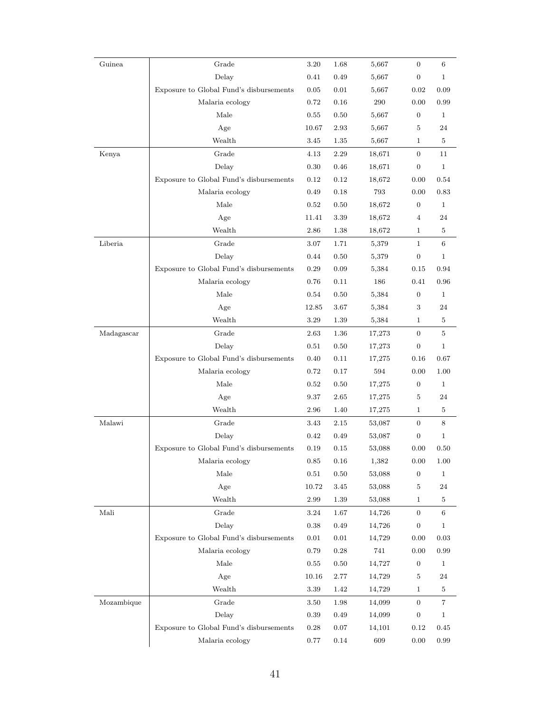| Guinea     | Grade                                   | 3.20      | 1.68     | 5,667   | $\mathbf{0}$     | 6            |
|------------|-----------------------------------------|-----------|----------|---------|------------------|--------------|
|            | Delay                                   | 0.41      | 0.49     | 5,667   | $\overline{0}$   | $\mathbf{1}$ |
|            | Exposure to Global Fund's disbursements | 0.05      | 0.01     | 5,667   | 0.02             | 0.09         |
|            | Malaria ecology                         | 0.72      | 0.16     | $\,290$ | 0.00             | 0.99         |
|            | Male                                    | 0.55      | 0.50     | 5,667   | $\boldsymbol{0}$ | $\mathbf{1}$ |
|            | Age                                     | $10.67\,$ | 2.93     | 5,667   | 5                | 24           |
|            | Wealth                                  | 3.45      | 1.35     | 5,667   | $\mathbf{1}$     | 5            |
| Kenya      | Grade                                   | 4.13      | 2.29     | 18,671  | $\overline{0}$   | 11           |
|            | Delay                                   | 0.30      | 0.46     | 18,671  | $\boldsymbol{0}$ | $\mathbf{1}$ |
|            | Exposure to Global Fund's disbursements | 0.12      | 0.12     | 18,672  | 0.00             | 0.54         |
|            | Malaria ecology                         | 0.49      | 0.18     | 793     | 0.00             | 0.83         |
|            | Male                                    | 0.52      | 0.50     | 18,672  | $\boldsymbol{0}$ | $\mathbf{1}$ |
|            | Age                                     | 11.41     | 3.39     | 18,672  | $\overline{4}$   | 24           |
|            | Wealth                                  | 2.86      | 1.38     | 18,672  | $\mathbf 1$      | $\bf 5$      |
| Liberia    | Grade                                   | 3.07      | 1.71     | 5,379   | $\mathbf{1}$     | 6            |
|            | Delay                                   | 0.44      | 0.50     | 5,379   | $\boldsymbol{0}$ | $\mathbf{1}$ |
|            | Exposure to Global Fund's disbursements | 0.29      | 0.09     | 5,384   | 0.15             | 0.94         |
|            | Malaria ecology                         | 0.76      | 0.11     | 186     | 0.41             | 0.96         |
|            | Male                                    | 0.54      | 0.50     | 5,384   | $\boldsymbol{0}$ | 1            |
|            | Age                                     | 12.85     | 3.67     | 5,384   | 3                | 24           |
|            | Wealth                                  | 3.29      | 1.39     | 5,384   | $\mathbf{1}$     | 5            |
| Madagascar | Grade                                   | 2.63      | 1.36     | 17,273  | $\overline{0}$   | $\bf 5$      |
|            | Delay                                   | 0.51      | 0.50     | 17,273  | $\overline{0}$   | $\mathbf 1$  |
|            | Exposure to Global Fund's disbursements | 0.40      | 0.11     | 17,275  | 0.16             | 0.67         |
|            | Malaria ecology                         | 0.72      | 0.17     | 594     | 0.00             | 1.00         |
|            | Male                                    | 0.52      | 0.50     | 17,275  | $\boldsymbol{0}$ | $\mathbf{1}$ |
|            | Age                                     | 9.37      | 2.65     | 17,275  | 5                | 24           |
|            | Wealth                                  | 2.96      | 1.40     | 17,275  | $\mathbf{1}$     | $\bf 5$      |
| Malawi     | Grade                                   | 3.43      | 2.15     | 53,087  | $\overline{0}$   | 8            |
|            | Delay                                   | 0.42      | 0.49     | 53,087  | $\boldsymbol{0}$ | $\mathbf{1}$ |
|            | Exposure to Global Fund's disbursements | 0.19      | 0.15     | 53,088  | 0.00             | 0.50         |
|            | Malaria ecology                         | 0.85      | 0.16     | 1,382   | 0.00             | 1.00         |
|            | Male                                    | 0.51      | 0.50     | 53,088  | $\boldsymbol{0}$ | $\mathbf{1}$ |
|            | Age                                     | 10.72     | 3.45     | 53,088  | 5                | 24           |
|            | Wealth                                  | 2.99      | 1.39     | 53,088  | $\mathbf{1}$     | 5            |
| Mali       | Grade                                   | 3.24      | 1.67     | 14,726  | $\overline{0}$   | 6            |
|            | Delay                                   | 0.38      | 0.49     | 14,726  | $\boldsymbol{0}$ | $\mathbf 1$  |
|            | Exposure to Global Fund's disbursements | 0.01      | 0.01     | 14,729  | 0.00             | 0.03         |
|            | Malaria ecology                         | 0.79      | 0.28     | 741     | 0.00             | 0.99         |
|            | Male                                    | 0.55      | 0.50     | 14,727  | $\boldsymbol{0}$ | $\mathbf{1}$ |
|            | Age                                     | 10.16     | 2.77     | 14,729  | 5                | 24           |
|            | Wealth                                  | 3.39      | 1.42     | 14,729  | $\mathbf{1}$     | $\bf 5$      |
| Mozambique | Grade                                   | 3.50      | 1.98     | 14,099  | $\overline{0}$   | 7            |
|            | Delay                                   | 0.39      | 0.49     | 14,099  | $\boldsymbol{0}$ | $\mathbf{1}$ |
|            | Exposure to Global Fund's disbursements | 0.28      | $0.07\,$ | 14,101  | 0.12             | 0.45         |
|            | Malaria ecology                         | 0.77      | 0.14     | 609     | 0.00             | $\rm 0.99$   |
|            |                                         |           |          |         |                  |              |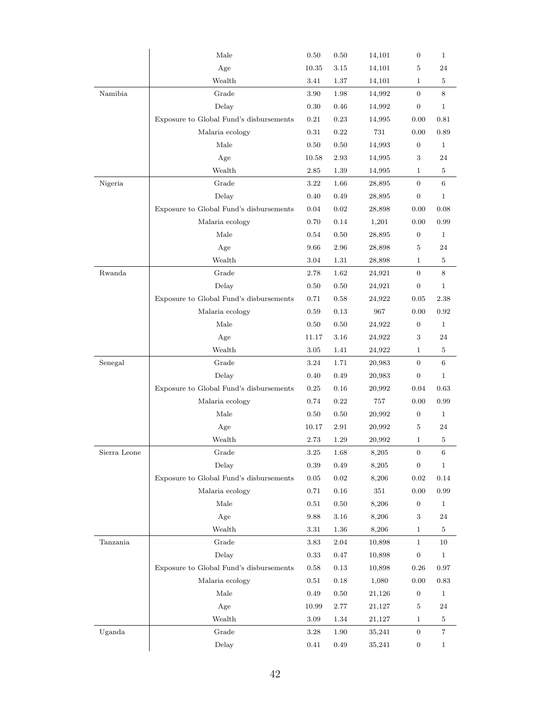|              | $\rm Male$                              | $0.50\,$ | 0.50       | 14,101 | $\boldsymbol{0}$ | $\mathbf{1}$   |
|--------------|-----------------------------------------|----------|------------|--------|------------------|----------------|
|              | Age                                     | 10.35    | 3.15       | 14,101 | 5                | 24             |
|              | Wealth                                  | 3.41     | 1.37       | 14,101 | $\mathbf 1$      | 5              |
| Namibia      | Grade                                   | 3.90     | 1.98       | 14,992 | $\overline{0}$   | 8              |
|              | Delay                                   | 0.30     | 0.46       | 14,992 | $\boldsymbol{0}$ | $\mathbf{1}$   |
|              | Exposure to Global Fund's disbursements | 0.21     | 0.23       | 14,995 | 0.00             | 0.81           |
|              | Malaria ecology                         | 0.31     | 0.22       | 731    | 0.00             | 0.89           |
|              | Male                                    | 0.50     | 0.50       | 14,993 | $\boldsymbol{0}$ | $\mathbf 1$    |
|              | Age                                     | 10.58    | 2.93       | 14,995 | 3                | 24             |
|              | Wealth                                  | 2.85     | 1.39       | 14,995 | $\mathbf{1}$     | $\bf 5$        |
| Nigeria      | Grade                                   | 3.22     | 1.66       | 28,895 | $\overline{0}$   | 6              |
|              | Delay                                   | 0.40     | 0.49       | 28,895 | 0                | $\mathbf{1}$   |
|              | Exposure to Global Fund's disbursements | 0.04     | 0.02       | 28,898 | 0.00             | 0.08           |
|              | Malaria ecology                         | 0.70     | 0.14       | 1,201  | 0.00             | 0.99           |
|              | Male                                    | 0.54     | 0.50       | 28,895 | $\boldsymbol{0}$ | 1              |
|              | Age                                     | 9.66     | 2.96       | 28,898 | 5                | 24             |
|              | Wealth                                  | 3.04     | 1.31       | 28,898 | $\mathbf{1}$     | 5              |
| Rwanda       | Grade                                   | 2.78     | 1.62       | 24,921 | $\overline{0}$   | 8              |
|              | Delay                                   | 0.50     | 0.50       | 24,921 | $\boldsymbol{0}$ | $\mathbf{1}$   |
|              | Exposure to Global Fund's disbursements | 0.71     | 0.58       | 24,922 | 0.05             | 2.38           |
|              | Malaria ecology                         | 0.59     | 0.13       | 967    | 0.00             | 0.92           |
|              | Male                                    | 0.50     | 0.50       | 24,922 | $\boldsymbol{0}$ | $\mathbf{1}$   |
|              | Age                                     | 11.17    | 3.16       | 24,922 | 3                | 24             |
|              | Wealth                                  | $3.05\,$ | $1.41\,$   | 24,922 | 1                | $\bf 5$        |
| Senegal      | Grade                                   | 3.24     | 1.71       | 20,983 | $\boldsymbol{0}$ | 6              |
|              | Delay                                   | 0.40     | 0.49       | 20,983 | $\boldsymbol{0}$ | $\mathbf{1}$   |
|              | Exposure to Global Fund's disbursements | 0.25     | 0.16       | 20,992 | 0.04             | 0.63           |
|              | Malaria ecology                         | 0.74     | 0.22       | 757    | 0.00             | 0.99           |
|              | Male                                    | 0.50     | 0.50       | 20,992 | $\boldsymbol{0}$ | $\mathbf{1}$   |
|              | Age                                     | 10.17    | 2.91       | 20,992 | 5                | 24             |
|              | Wealth                                  | 2.73     | 1.29       | 20,992 | $\mathbf 1$      | 5              |
| Sierra Leone | $_\mathrm{Grade}$                       | 3.25     | 1.68       | 8,205  | $\boldsymbol{0}$ | $\,6\,$        |
|              | Delay                                   | 0.39     | 0.49       | 8,205  | $\boldsymbol{0}$ | $\mathbf{1}$   |
|              | Exposure to Global Fund's disbursements | 0.05     | $\rm 0.02$ | 8,206  | 0.02             | $0.14\,$       |
|              | Malaria ecology                         | 0.71     | 0.16       | 351    | 0.00             | 0.99           |
|              | Male                                    | 0.51     | 0.50       | 8,206  | $\boldsymbol{0}$ | $\mathbf{1}$   |
|              | Age                                     | 9.88     | 3.16       | 8,206  | 3                | 24             |
|              | Wealth                                  | 3.31     | 1.36       | 8,206  | $\mathbf{1}$     | $\bf 5$        |
| Tanzania     | Grade                                   | 3.83     | 2.04       | 10,898 | $\mathbf{1}$     | 10             |
|              | Delay                                   | 0.33     | 0.47       | 10,898 | $\boldsymbol{0}$ | $\mathbf{1}$   |
|              | Exposure to Global Fund's disbursements | 0.58     | $0.13\,$   | 10,898 | 0.26             | 0.97           |
|              | Malaria ecology                         | 0.51     | 0.18       | 1,080  | 0.00             | 0.83           |
|              | Male                                    | 0.49     | 0.50       | 21,126 | $\boldsymbol{0}$ | $\mathbf{1}$   |
|              | Age                                     | 10.99    | 2.77       | 21,127 | 5                | 24             |
|              | Wealth                                  | 3.09     | 1.34       | 21,127 | $\mathbf{1}$     | $\bf 5$        |
| Uganda       | Grade                                   | 3.28     | 1.90       | 35,241 | $\boldsymbol{0}$ | $\overline{7}$ |
|              | Delay                                   | 0.41     | 0.49       | 35,241 | 0                | $\mathbf{1}$   |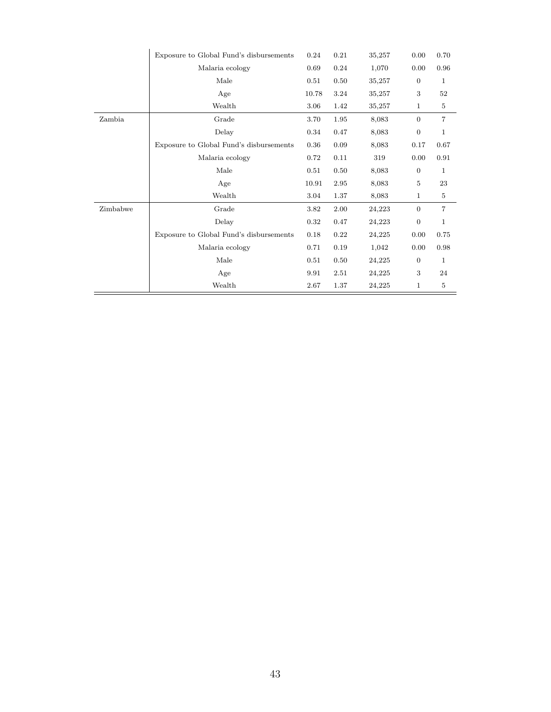|          | Exposure to Global Fund's disbursements | 0.24  | 0.21 | 35,257 | 0.00           | 0.70           |
|----------|-----------------------------------------|-------|------|--------|----------------|----------------|
|          | Malaria ecology                         | 0.69  | 0.24 | 1,070  | 0.00           | 0.96           |
|          | Male                                    | 0.51  | 0.50 | 35,257 | $\overline{0}$ | 1              |
|          | Age                                     | 10.78 | 3.24 | 35,257 | 3              | $52\,$         |
|          | Wealth                                  | 3.06  | 1.42 | 35,257 | $\mathbf{1}$   | $\,$ 5 $\,$    |
| Zambia   | Grade                                   | 3.70  | 1.95 | 8,083  | $\Omega$       | $\overline{7}$ |
|          | Delay                                   | 0.34  | 0.47 | 8,083  | $\overline{0}$ | 1              |
|          | Exposure to Global Fund's disbursements | 0.36  | 0.09 | 8,083  | 0.17           | 0.67           |
|          | Malaria ecology                         | 0.72  | 0.11 | 319    | 0.00           | 0.91           |
|          | Male                                    | 0.51  | 0.50 | 8,083  | $\overline{0}$ | $\mathbf{1}$   |
|          | Age                                     | 10.91 | 2.95 | 8,083  | 5              | 23             |
|          | Wealth                                  | 3.04  | 1.37 | 8,083  | $\mathbf{1}$   | $\bf 5$        |
| Zimbabwe | Grade                                   | 3.82  | 2.00 | 24,223 | $\overline{0}$ | $\overline{7}$ |
|          | Delay                                   | 0.32  | 0.47 | 24,223 | $\overline{0}$ | $\mathbf{1}$   |
|          | Exposure to Global Fund's disbursements | 0.18  | 0.22 | 24,225 | 0.00           | 0.75           |
|          | Malaria ecology                         | 0.71  | 0.19 | 1,042  | 0.00           | 0.98           |
|          | Male                                    | 0.51  | 0.50 | 24,225 | $\overline{0}$ | $\mathbf{1}$   |
|          | Age                                     | 9.91  | 2.51 | 24,225 | 3              | 24             |
|          | Wealth                                  | 2.67  | 1.37 | 24,225 | $\mathbf{1}$   | 5              |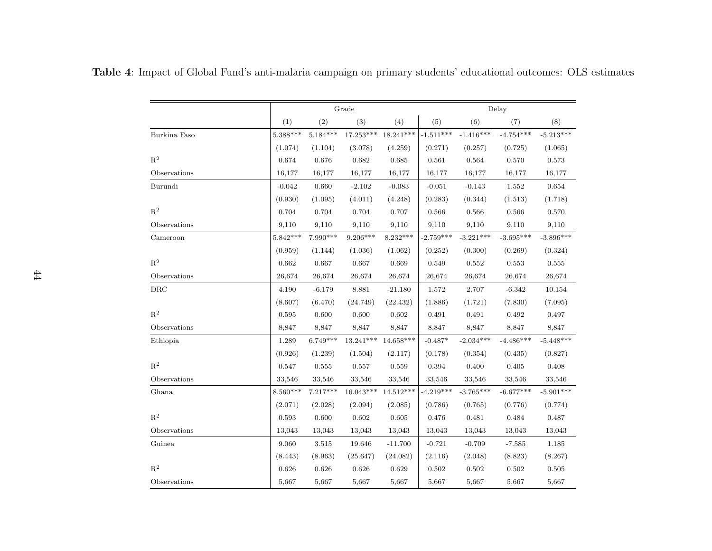|                |            |            | Grade       |             | Delay       |             |             |             |  |
|----------------|------------|------------|-------------|-------------|-------------|-------------|-------------|-------------|--|
|                | (1)        | (2)        | (3)         | (4)         | (5)         | (6)         | (7)         | (8)         |  |
| Burkina Faso   | $5.388***$ | $5.184***$ | $17.253***$ | $18.241***$ | $-1.511***$ | $-1.416***$ | $-4.754***$ | $-5.213***$ |  |
|                | (1.074)    | (1.104)    | (3.078)     | (4.259)     | (0.271)     | (0.257)     | (0.725)     | (1.065)     |  |
| $\mathbf{R}^2$ | 0.674      | 0.676      | 0.682       | 0.685       | 0.561       | 0.564       | 0.570       | 0.573       |  |
| Observations   | 16,177     | 16,177     | 16,177      | 16,177      | 16,177      | 16,177      | 16,177      | 16,177      |  |
| Burundi        | $-0.042$   | 0.660      | $-2.102$    | $-0.083$    | $-0.051$    | $-0.143$    | 1.552       | 0.654       |  |
|                | (0.930)    | (1.095)    | (4.011)     | (4.248)     | (0.283)     | (0.344)     | (1.513)     | (1.718)     |  |
| $\mathbf{R}^2$ | 0.704      | 0.704      | 0.704       | 0.707       | 0.566       | 0.566       | $\,0.566\,$ | 0.570       |  |
| Observations   | 9,110      | 9,110      | 9,110       | 9,110       | 9,110       | 9,110       | 9,110       | 9,110       |  |
| Cameroon       | $5.842***$ | $7.990***$ | $9.206***$  | $8.232***$  | $-2.759***$ | $-3.221***$ | $-3.695***$ | $-3.896***$ |  |
|                | (0.959)    | (1.144)    | (1.036)     | (1.062)     | (0.252)     | (0.300)     | (0.269)     | (0.324)     |  |
| $\mathbf{R}^2$ | 0.662      | 0.667      | 0.667       | 0.669       | 0.549       | 0.552       | 0.553       | 0.555       |  |
| Observations   | 26,674     | 26,674     | 26,674      | 26,674      | 26,674      | 26,674      | 26,674      | 26,674      |  |
| DRC            | 4.190      | $-6.179$   | 8.881       | $-21.180$   | 1.572       | 2.707       | $-6.342$    | 10.154      |  |
|                | (8.607)    | (6.470)    | (24.749)    | (22.432)    | (1.886)     | (1.721)     | (7.830)     | (7.095)     |  |
| $\mathbf{R}^2$ | 0.595      | 0.600      | 0.600       | 0.602       | 0.491       | 0.491       | 0.492       | 0.497       |  |
| Observations   | 8,847      | 8,847      | 8,847       | 8,847       | 8,847       | 8,847       | 8,847       | 8,847       |  |
| Ethiopia       | 1.289      | $6.749***$ | 13.241***   | $14.658***$ | $-0.487*$   | $-2.034***$ | $-4.486***$ | $-5.448***$ |  |
|                | (0.926)    | (1.239)    | (1.504)     | (2.117)     | (0.178)     | (0.354)     | (0.435)     | (0.827)     |  |
| $\mathbf{R}^2$ | 0.547      | 0.555      | 0.557       | 0.559       | 0.394       | 0.400       | 0.405       | 0.408       |  |
| Observations   | 33,546     | 33,546     | 33,546      | 33,546      | 33,546      | 33,546      | 33,546      | 33,546      |  |
| Ghana          | $8.560***$ | $7.217***$ | $16.043***$ | 14.512***   | $-4.219***$ | $-3.765***$ | $-6.677***$ | $-5.901***$ |  |
|                | (2.071)    | (2.028)    | (2.094)     | (2.085)     | (0.786)     | (0.765)     | (0.776)     | (0.774)     |  |
| $\mathbf{R}^2$ | 0.593      | 0.600      | 0.602       | 0.605       | 0.476       | 0.481       | 0.484       | 0.487       |  |
| Observations   | 13,043     | 13,043     | 13,043      | 13,043      | 13,043      | 13,043      | 13,043      | 13,043      |  |
| Guinea         | 9.060      | 3.515      | 19.646      | $-11.700$   | $-0.721$    | $-0.709$    | $-7.585$    | 1.185       |  |
|                | (8.443)    | (8.963)    | (25.647)    | (24.082)    | (2.116)     | (2.048)     | (8.823)     | (8.267)     |  |
| $R^2$          | 0.626      | 0.626      | 0.626       | 0.629       | 0.502       | 0.502       | 0.502       | 0.505       |  |
| Observations   | 5,667      | 5,667      | 5,667       | 5,667       | 5,667       | 5,667       | 5,667       | 5,667       |  |

Table <sup>4</sup>: Impact of Global Fund's anti-malaria campaign on primary students' educational outcomes: OLS estimates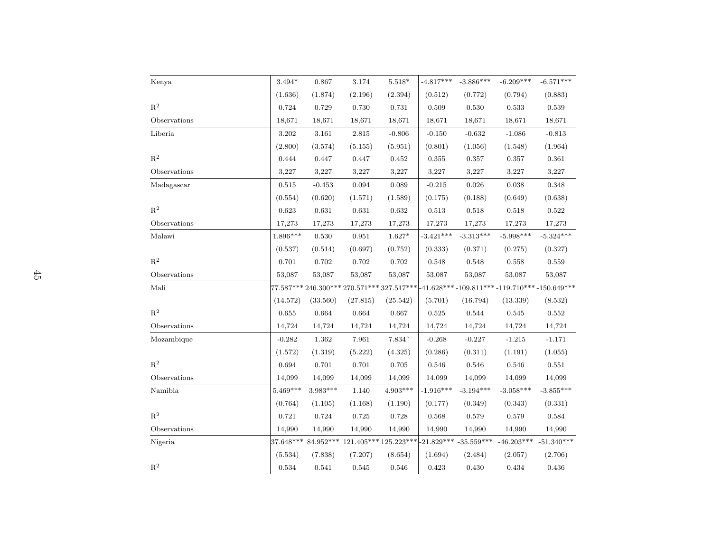| Kenya          | $3.494*$    | $\,0.867\,$ | $3.174\,$                                  | $5.518*$    | $-4.817***$ | $-3.886***$               | $-6.209***$  | $-6.571***$                                   |
|----------------|-------------|-------------|--------------------------------------------|-------------|-------------|---------------------------|--------------|-----------------------------------------------|
|                | (1.636)     | (1.874)     | (2.196)                                    | (2.394)     | (0.512)     | (0.772)                   | (0.794)      | (0.883)                                       |
| $\mathbf{R}^2$ | 0.724       | 0.729       | 0.730                                      | 0.731       | 0.509       | 0.530                     | 0.533        | 0.539                                         |
| Observations   | 18,671      | 18,671      | 18,671                                     | 18,671      | 18,671      | 18,671                    | 18,671       | 18,671                                        |
| Liberia        | 3.202       | 3.161       | 2.815                                      | $-0.806$    | $-0.150$    | $-0.632$                  | $-1.086$     | $-0.813$                                      |
|                | (2.800)     | (3.574)     | (5.155)                                    | (5.951)     | (0.801)     | (1.056)                   | (1.548)      | (1.964)                                       |
| $\mathbf{R}^2$ | 0.444       | 0.447       | 0.447                                      | 0.452       | 0.355       | $0.357\,$                 | 0.357        | 0.361                                         |
| Observations   | 3,227       | 3,227       | 3,227                                      | 3,227       | 3,227       | 3,227                     | 3,227        | 3,227                                         |
| Madagascar     | 0.515       | $-0.453$    | 0.094                                      | 0.089       | $-0.215$    | 0.026                     | 0.038        | 0.348                                         |
|                | (0.554)     | (0.620)     | (1.571)                                    | (1.589)     | (0.175)     | (0.188)                   | (0.649)      | (0.638)                                       |
| $R^2$          | 0.623       | $\,0.631\,$ | 0.631                                      | $\,0.632\,$ | 0.513       | $\,0.518\,$               | $\,0.518\,$  | 0.522                                         |
| Observations   | 17,273      | 17,273      | 17,273                                     | 17,273      | 17,273      | 17,273                    | 17,273       | 17,273                                        |
| Malawi         | $1.896***$  | 0.530       | 0.951                                      | $1.627*$    | $-3.421***$ | $-3.313***$               | $-5.998***$  | $-5.324***$                                   |
|                | (0.537)     | (0.514)     | (0.697)                                    | (0.752)     | (0.333)     | (0.371)                   | (0.275)      | (0.327)                                       |
| $\mathbf{R}^2$ | 0.701       | $0.702\,$   | $0.702\,$                                  | $\rm 0.702$ | 0.548       | $\,0.548\,$               | 0.558        | $\,0.559\,$                                   |
| Observations   | 53,087      | 53,087      | 53,087                                     | 53,087      | 53,087      | 53,087                    | 53,087       | 53,087                                        |
| Mali           |             |             | 77.587*** 246.300*** 270.571*** 327.517*** |             |             |                           |              | $-41.628***-109.811***-119.710***-150.649***$ |
|                | (14.572)    | (33.560)    | (27.815)                                   | (25.542)    | (5.701)     | (16.794)                  | (13.339)     | (8.532)                                       |
| $\mathbf{R}^2$ | 0.655       | 0.664       | 0.664                                      | 0.667       | $\,0.525\,$ | 0.544                     | 0.545        | $\,0.552\,$                                   |
| Observations   | 14,724      | 14,724      | 14,724                                     | 14,724      | 14,724      | 14,724                    | 14,724       | 14,724                                        |
| Mozambique     | $-0.282$    | 1.362       | 7.961                                      | 7.834^      | $-0.268$    | $-0.227$                  | $-1.215$     | $-1.171$                                      |
|                | (1.572)     | (1.319)     | (5.222)                                    | (4.325)     | (0.286)     | (0.311)                   | (1.191)      | (1.055)                                       |
| $\mathbf{R}^2$ | $\,0.694\,$ | $0.701\,$   | 0.701                                      | 0.705       | 0.546       | 0.546                     | 0.546        | 0.551                                         |
| Observations   | 14,099      | 14,099      | 14,099                                     | 14,099      | 14,099      | 14,099                    | 14,099       | 14,099                                        |
| Namibia        | $5.469***$  | $3.983***$  | 1.140                                      | $4.903***$  | $-1.916***$ | $-3.194***$               | $-3.058***$  | $-3.855***$                                   |
|                | (0.764)     | (1.105)     | (1.168)                                    | (1.190)     | (0.177)     | (0.349)                   | (0.343)      | (0.331)                                       |
| $\mathbf{R}^2$ | $0.721\,$   | $\rm 0.724$ | $\rm 0.725$                                | 0.728       | $\,0.568\,$ | $\,0.579\,$               | 0.579        | 0.584                                         |
| Observations   | 14,990      | 14,990      | 14,990                                     | 14,990      | 14,990      | 14,990                    | 14,990       | 14,990                                        |
| Nigeria        |             |             | 37.648*** 84.952*** 121.405*** 125.223***  |             |             | $-21.829***$ $-35.559***$ | $-46.203***$ | $-51.340***$                                  |
|                | (5.534)     | (7.838)     | (7.207)                                    | (8.654)     | (1.694)     | (2.484)                   | (2.057)      | (2.706)                                       |
| $\mathbf{R}^2$ | 0.534       | 0.541       | 0.545                                      | 0.546       | 0.423       | 0.430                     | 0.434        | 0.436                                         |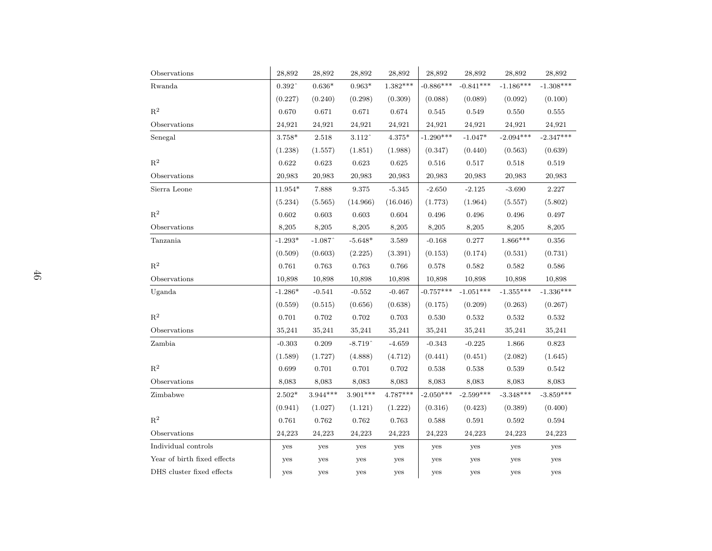| Observations                | 28,892          | 28,892     | 28,892                | 28,892         | 28,892      | 28,892      | 28,892      | 28,892      |
|-----------------------------|-----------------|------------|-----------------------|----------------|-------------|-------------|-------------|-------------|
| Rwanda                      | $0.392\,^\circ$ | $0.636*$   | $0.963*$              | $1.382***$     | $-0.886***$ | $-0.841***$ | $-1.186***$ | $-1.308***$ |
|                             | (0.227)         | (0.240)    | (0.298)               | (0.309)        | (0.088)     | (0.089)     | (0.092)     | (0.100)     |
| $R^2$                       | 0.670           | 0.671      | 0.671                 | 0.674          | 0.545       | 0.549       | 0.550       | 0.555       |
| Observations                | 24,921          | 24,921     | 24,921                | 24,921         | 24,921      | 24,921      | 24,921      | 24,921      |
| Senegal                     | 3.758*          | 2.518      | 3.112                 | $4.375^{\ast}$ | $-1.290***$ | $-1.047*$   | $-2.094***$ | $-2.347***$ |
|                             | (1.238)         | (1.557)    | (1.851)               | (1.988)        | (0.347)     | (0.440)     | (0.563)     | (0.639)     |
| $\mathbf{R}^2$              | 0.622           | 0.623      | 0.623                 | 0.625          | 0.516       | 0.517       | 0.518       | 0.519       |
| Observations                | 20,983          | 20,983     | 20,983                | 20,983         | 20,983      | 20,983      | 20,983      | 20,983      |
| Sierra Leone                | $11.954*$       | 7.888      | 9.375                 | $-5.345$       | $-2.650$    | $-2.125$    | $-3.690$    | 2.227       |
|                             | (5.234)         | (5.565)    | (14.966)              | (16.046)       | (1.773)     | (1.964)     | (5.557)     | (5.802)     |
| $\mathbf{R}^2$              | 0.602           | 0.603      | $\,0.603\,$           | 0.604          | 0.496       | 0.496       | 0.496       | 0.497       |
| Observations                | 8,205           | 8,205      | 8,205                 | 8,205          | 8,205       | 8,205       | 8,205       | 8,205       |
| Tanzania                    | $-1.293*$       | $-1.087$   | $-5.648*$             | 3.589          | $-0.168$    | 0.277       | $1.866***$  | 0.356       |
|                             | (0.509)         | (0.603)    | (2.225)               | (3.391)        | (0.153)     | (0.174)     | (0.531)     | (0.731)     |
| $\mathbf{R}^2$              | 0.761           | 0.763      | 0.763                 | 0.766          | 0.578       | 0.582       | 0.582       | 0.586       |
| Observations                | 10,898          | 10,898     | 10,898                | 10,898         | 10,898      | 10,898      | 10,898      | 10,898      |
| Uganda                      | $-1.286*$       | $-0.541$   | $-0.552$              | $-0.467$       | $-0.757***$ | $-1.051***$ | $-1.355***$ | $-1.336***$ |
|                             | (0.559)         | (0.515)    | (0.656)               | (0.638)        | (0.175)     | (0.209)     | (0.263)     | (0.267)     |
| $R^2$                       | 0.701           | 0.702      | 0.702                 | 0.703          | 0.530       | 0.532       | 0.532       | 0.532       |
| Observations                | 35,241          | 35,241     | 35,241                | 35,241         | 35,241      | 35,241      | 35,241      | 35,241      |
| Zambia                      | $-0.303$        | 0.209      | $-8.719$ <sup>^</sup> | $-4.659$       | $-0.343$    | $-0.225$    | 1.866       | 0.823       |
|                             | (1.589)         | (1.727)    | (4.888)               | (4.712)        | (0.441)     | (0.451)     | (2.082)     | (1.645)     |
| $R^2$                       | 0.699           | 0.701      | 0.701                 | 0.702          | 0.538       | 0.538       | 0.539       | 0.542       |
| Observations                | 8,083           | 8,083      | 8,083                 | 8,083          | 8,083       | 8,083       | 8,083       | 8,083       |
| Zimbabwe                    | $2.502*$        | $3.944***$ | $3.901***$            | $4.787***$     | $-2.050***$ | $-2.599***$ | $-3.348***$ | $-3.859***$ |
|                             | (0.941)         | (1.027)    | (1.121)               | (1.222)        | (0.316)     | (0.423)     | (0.389)     | (0.400)     |
| $\mathbf{R}^2$              | 0.761           | 0.762      | 0.762                 | 0.763          | 0.588       | 0.591       | 0.592       | 0.594       |
| Observations                | 24,223          | 24,223     | 24,223                | 24,223         | 24,223      | 24,223      | 24,223      | 24,223      |
| Individual controls         | yes             | yes        | yes                   | yes            | yes         | yes         | yes         | yes         |
| Year of birth fixed effects | yes             | yes        | yes                   | yes            | yes         | yes         | yes         | yes         |
| DHS cluster fixed effects   | yes             | yes        | yes                   | yes            | yes         | yes         | yes         | yes         |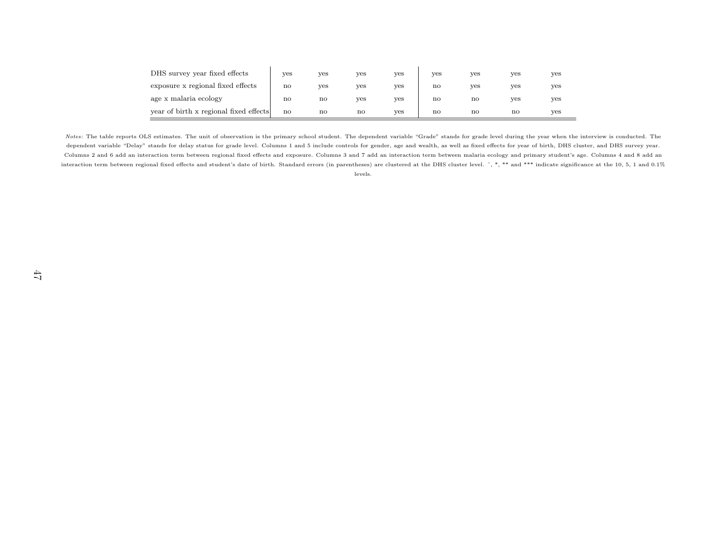| DHS survey year fixed effects          | yes                    | ves          | ves                    | yes | yes                    | ves                    | yes | yes |
|----------------------------------------|------------------------|--------------|------------------------|-----|------------------------|------------------------|-----|-----|
| exposure x regional fixed effects      | $\mathbf{n}\mathbf{o}$ | ves          | ves                    | ves | $\mathbf{n}\mathbf{o}$ | ves                    | yes | ves |
| age x malaria ecology                  | no                     | no           | ves                    | yes | no                     | $\mathbf{n}\mathbf{o}$ | yes | yes |
| year of birth x regional fixed effects | no                     | $\mathbf{n}$ | $\mathbf{n}\mathbf{o}$ | ves | $\mathbf{n}\mathbf{o}$ | $\mathbf{n}\mathbf{o}$ | no  | ves |

Notes: The table reports OLS estimates. The unit of observation is the primary school student. The dependent variable "Grade" stands for grade level during the year when the interview is conducted. The dependent variable "Delay" stands for delay status for grade level. Columns 1 and 5 include controls for gender, age and wealth, as well as fixed effects for year of birth, DHS cluster, and DHS survey year. Columns 2 and 6 add an interaction term between regional fixed effects and exposure. Columns 3 and 7 add an interaction term between malaria ecology and primary student's age. Columns 4 and 8 add aninteraction term between regional fixed effects and student's date of birth. Standard errors (in parentheses) are clustered at the DHS cluster level. ^, \*, \*\* and \*\*\* indicate significance at the 10, 5, 1 and 0.1% levels.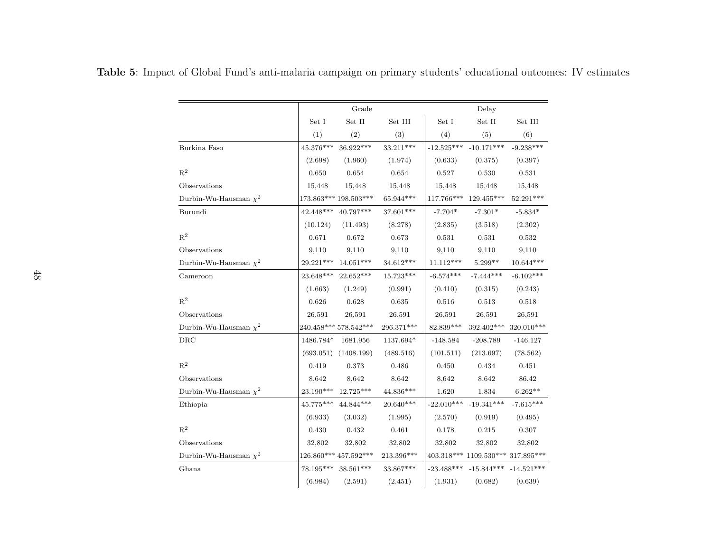|                            |                  | Grade                          |              | Delay                  |                                   |              |  |
|----------------------------|------------------|--------------------------------|--------------|------------------------|-----------------------------------|--------------|--|
|                            | Set I            | $\operatorname{Set}$ II        | Set III      | $\operatorname{Set}$ I | $\operatorname{Set}$ II           | Set III      |  |
|                            | (1)              | (2)                            | (3)          | (4)                    | (5)                               | (6)          |  |
| Burkina Faso               | $45.376***$      | 36.922***                      | $33.211***$  | $-12.525***$           | $-10.171***$                      | $-9.238***$  |  |
|                            | (2.698)          | (1.960)                        | (1.974)      | (0.633)                | (0.375)                           | (0.397)      |  |
| $R^2$                      | 0.650            | 0.654                          | 0.654        | 0.527                  | 0.530                             | 0.531        |  |
| Observations               | 15,448           | 15,448                         | 15,448       | 15,448                 | 15,448                            | 15,448       |  |
| Durbin-Wu-Hausman $\chi^2$ |                  | 173.863*** 198.503***          | $65.944***$  | $117.766***$           | 129.455***                        | 52.291***    |  |
| Burundi                    | $42.448***$      | 40.797***                      | 37.601***    | $-7.704*$              | $-7.301*$                         | $-5.834*$    |  |
|                            | (10.124)         | (11.493)                       | (8.278)      | (2.835)                | (3.518)                           | (2.302)      |  |
| $R^2$                      | 0.671            | 0.672                          | 0.673        | 0.531                  | 0.531                             | 0.532        |  |
| Observations               | 9,110            | 9,110                          | 9,110        | 9,110                  | 9,110                             | 9,110        |  |
| Durbin-Wu-Hausman $\chi^2$ | 29.221***        | $14.051***$                    | $34.612***$  | $11.112***$            | $5.299**$                         | 10.644***    |  |
| Cameroon                   | 23.648***        | $22.652***$                    | $15.723***$  | $-6.574***$            | $-7.444***$                       | $-6.102***$  |  |
|                            | (1.663)          | (1.249)                        | (0.991)      | (0.410)                | (0.315)                           | (0.243)      |  |
| $R^2$                      | 0.626            | 0.628                          | 0.635        | 0.516                  | 0.513                             | 0.518        |  |
| Observations               | 26,591           | 26,591                         | 26,591       | 26,591                 | 26,591                            | 26,591       |  |
| Durbin-Wu-Hausman $\chi^2$ |                  | 240.458*** 578.542***          | 296.371***   | 82.839***              | 392.402***                        | 320.010***   |  |
| DRC                        | 1486.784*        | 1681.956                       | 1137.694*    | $-148.584$             | $-208.789$                        | $-146.127$   |  |
|                            | (693.051)        | (1408.199)                     | (489.516)    | (101.511)              | (213.697)                         | (78.562)     |  |
| $\mathbf{R}^2$             | 0.419            | 0.373                          | 0.486        | 0.450                  | 0.434                             | 0.451        |  |
| Observations               | 8,642            | 8,642                          | 8,642        | 8,642                  | 8,642                             | 86,42        |  |
| Durbin-Wu-Hausman $\chi^2$ | $23.190***$      | 12.725***                      | 44.836***    | 1.620                  | 1.834                             | $6.262**$    |  |
| Ethiopia                   | $45.775^{***}\,$ | $44.844***$                    | $20.640***$  | $-22.010***$           | $-19.341***$                      | $-7.615***$  |  |
|                            | (6.933)          | (3.032)                        | (1.995)      | (2.570)                | (0.919)                           | (0.495)      |  |
| $\mathbf{R}^2$             | 0.430            | 0.432                          | 0.461        | 0.178                  | 0.215                             | 0.307        |  |
| Observations               | 32,802           | 32,802                         | 32,802       | 32,802                 | 32,802                            | 32,802       |  |
| Durbin-Wu-Hausman $\chi^2$ |                  | $126.860^{***}\,457.592^{***}$ | $213.396***$ |                        | 403.318*** 1109.530*** 317.895*** |              |  |
| Ghana                      | $78.195***$      | $38.561***$                    | 33.867***    | $-23.488***$           | $-15.844***$                      | $-14.521***$ |  |
|                            | (6.984)          | (2.591)                        | (2.451)      | (1.931)                | (0.682)                           | (0.639)      |  |

Table <sup>5</sup>: Impact of Global Fund's anti-malaria campaign on primary students' educational outcomes: IV estimates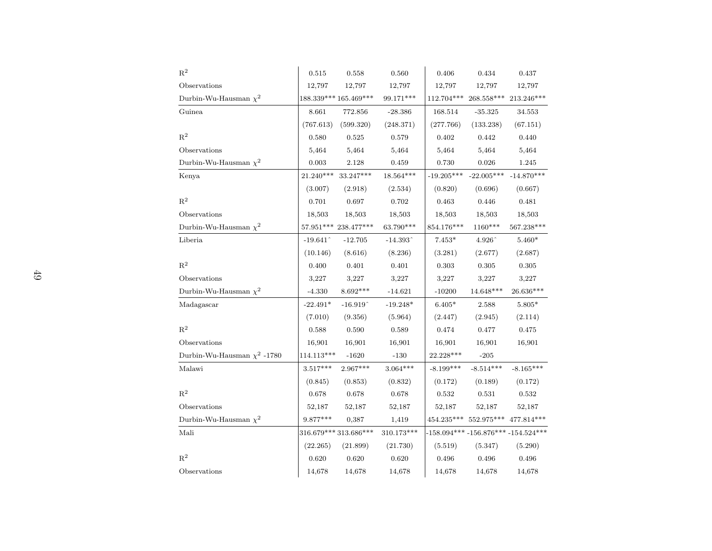| $\mathbb{R}^2$                   | 0.515        | 0.558                  | 0.560                                     | 0.406        | 0.434                                                 | 0.437                                     |
|----------------------------------|--------------|------------------------|-------------------------------------------|--------------|-------------------------------------------------------|-------------------------------------------|
| Observations                     | 12,797       | 12,797                 | 12,797                                    | 12,797       | 12,797                                                | 12,797                                    |
| Durbin-Wu-Hausman $\chi^2$       |              | 188.339*** 165.469***  | 99.171***                                 | 112.704***   | $268.558***$                                          | 213.246***                                |
| Guinea                           | 8.661        | 772.856                | $-28.386$                                 | 168.514      | $-35.325$                                             | 34.553                                    |
|                                  | (767.613)    | (599.320)              | (248.371)                                 | (277.766)    | (133.238)                                             | (67.151)                                  |
| $\mathbf{R}^2$                   | 0.580        | 0.525                  | 0.579                                     | 0.402        | 0.442                                                 | 0.440                                     |
| Observations                     | 5,464        | 5,464                  | 5,464                                     | 5,464        | 5,464                                                 | 5,464                                     |
| Durbin-Wu-Hausman $\chi^2$       | 0.003        | 2.128                  | 0.459                                     | 0.730        | 0.026                                                 | 1.245                                     |
| Kenya                            | $21.240***$  | $33.247***$            | $18.564***$                               | $-19.205***$ | $-22.005***$                                          | $-14.870***$                              |
|                                  | (3.007)      | (2.918)                | (2.534)                                   | (0.820)      | (0.696)                                               | (0.667)                                   |
| $\mathbf{R}^2$                   | 0.701        | $\,0.697\,$            | 0.702                                     | 0.463        | 0.446                                                 | 0.481                                     |
| Observations                     | 18,503       | 18,503                 | 18,503                                    | 18,503       | 18,503                                                | 18,503                                    |
| Durbin-Wu-Hausman $\chi^2$       |              | 57.951*** 238.477***   | 63.790***                                 | $854.176***$ | 1160***                                               | $567.238***$                              |
| Liberia                          | $-19.641$    | $-12.705$              | $-14.393$ <sup><math>\degree</math></sup> | $7.453*$     | 4.926^                                                | $5.460*$                                  |
|                                  | (10.146)     | (8.616)                | (8.236)                                   | (3.281)      | (2.677)                                               | (2.687)                                   |
| $R^2$                            | 0.400        | 0.401                  | 0.401                                     | 0.303        | 0.305                                                 | 0.305                                     |
| Observations                     | 3,227        | 3,227                  | 3,227                                     | 3,227        | 3,227                                                 | 3,227                                     |
| Durbin-Wu-Hausman $\chi^2$       | $-4.330$     | $8.692***$             | $-14.621$                                 | $-10200$     | $14.648***$                                           | $26.636***$                               |
| Madagascar                       | $-22.491*$   | $-16.919$ <sup>^</sup> | $-19.248*$                                | $6.405*$     | 2.588                                                 | $5.805*$                                  |
|                                  | (7.010)      | (9.356)                | (5.964)                                   | (2.447)      | (2.945)                                               | (2.114)                                   |
| $\mathbf{R}^2$                   | 0.588        | 0.590                  | 0.589                                     | 0.474        | 0.477                                                 | 0.475                                     |
| Observations                     | 16,901       | 16,901                 | 16,901                                    | 16,901       | 16,901                                                | 16,901                                    |
| Durbin-Wu-Hausman $\chi^2$ -1780 | $114.113***$ | $-1620$                | $-130$                                    | $22.228***$  | $-205$                                                |                                           |
| Malawi                           | $3.517***$   | $2.967***$             | $3.064***$                                | $-8.199***$  | $-8.514***$                                           | $-8.165***$                               |
|                                  | (0.845)      | (0.853)                | (0.832)                                   | (0.172)      | (0.189)                                               | (0.172)                                   |
| $\mathbf{R}^2$                   | 0.678        | 0.678                  | 0.678                                     | 0.532        | 0.531                                                 | 0.532                                     |
| Observations                     | 52,187       | 52,187                 | 52,187                                    | 52,187       | 52,187                                                | 52,187                                    |
| Durbin-Wu-Hausman $\chi^2$       | 9.877***     | 0,387                  | 1,419                                     |              | $454.235^{***} \>\> 552.975^{***} \>\> 477.814^{***}$ |                                           |
| Mali                             |              | 316.679*** 313.686***  | $310.173***$                              |              |                                                       | $-158.094***$ $-156.876***$ $-154.524***$ |
|                                  | (22.265)     | (21.899)               | (21.730)                                  | (5.519)      | (5.347)                                               | (5.290)                                   |
| $R^2$                            | 0.620        | 0.620                  | 0.620                                     | 0.496        | 0.496                                                 | 0.496                                     |
| Observations                     | 14,678       | 14,678                 | 14,678                                    | 14,678       | 14,678                                                | 14,678                                    |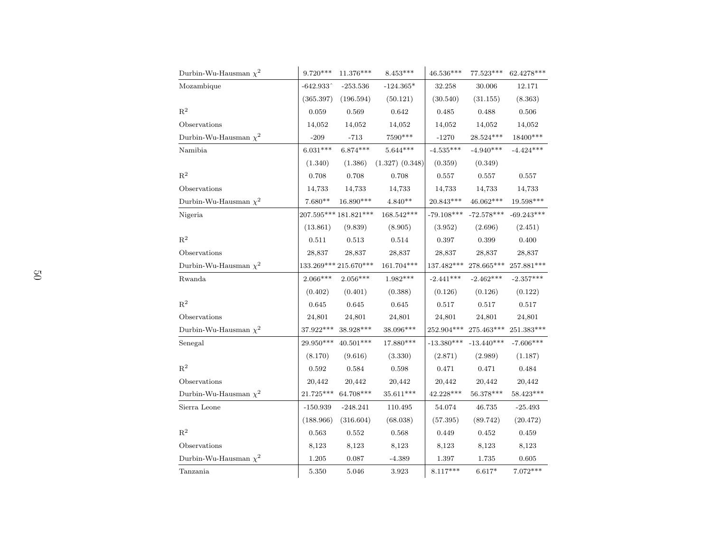| Durbin-Wu-Hausman $\chi^2$ | $9.720***$       | 11.376***             | $8.453***$          | 46.536***                          | 77.523***                          | 62.4278***               |
|----------------------------|------------------|-----------------------|---------------------|------------------------------------|------------------------------------|--------------------------|
| Mozambique                 | $-642.933$ ^     | $-253.536$            | $-124.365*$         | 32.258                             | 30.006                             | 12.171                   |
|                            | (365.397)        | (196.594)             | (50.121)            | (30.540)                           | (31.155)                           | (8.363)                  |
| $\mathbf{R}^2$             | 0.059            | 0.569                 | 0.642               | 0.485                              | 0.488                              | 0.506                    |
| Observations               | 14,052           | 14,052                | 14,052              | 14,052                             | 14,052                             | 14,052                   |
| Durbin-Wu-Hausman $\chi^2$ | $-209$           | $-713$                | 7590***             | $-1270$                            | $28.524***$                        | 18400***                 |
| Namibia                    | $6.031***$       | $6.874***$            | $5.644***$          | $-4.535***$                        | $-4.940***$                        | $-4.424***$              |
|                            | (1.340)          | (1.386)               | $(1.327)$ $(0.348)$ | (0.359)                            | (0.349)                            |                          |
| $\mathbf{R}^2$             | 0.708            | 0.708                 | $0.708\,$           | 0.557                              | 0.557                              | $0.557\,$                |
| Observations               | 14,733           | 14,733                | 14,733              | 14,733                             | 14,733                             | 14,733                   |
| Durbin-Wu-Hausman $\chi^2$ | $7.680**$        | 16.890***             | $4.840**$           | 20.843***                          | 46.062***                          | $19.598***$              |
| Nigeria                    |                  | 207.595*** 181.821*** | $168.542***$        | $-79.108***$                       | $\textbf{ -72.578}^{\textbf{***}}$ | $-69.243***$             |
|                            | (13.861)         | (9.839)               | (8.905)             | (3.952)                            | (2.696)                            | (2.451)                  |
| $\mathbf{R}^2$             | 0.511            | 0.513                 | $\,0.514\,$         | 0.397                              | $\,0.399\,$                        | 0.400                    |
| Observations               | 28,837           | 28,837                | 28,837              | 28,837                             | 28,837                             | 28,837                   |
| Durbin-Wu-Hausman $\chi^2$ |                  | 133.269*** 215.670*** | 161.704***          | 137.482***                         | 278.665***                         | $257.881***$             |
| Rwanda                     | $2.066***$       | $2.056***$            | $1.982***$          | $-2.441***$                        | $-2.462***$                        | $-2.357***$              |
|                            | (0.402)          | (0.401)               | (0.388)             | (0.126)                            | (0.126)                            | (0.122)                  |
| $R^2$                      | 0.645            | 0.645                 | 0.645               | 0.517                              | 0.517                              | 0.517                    |
| Observations               | 24,801           | 24,801                | 24,801              | 24,801                             | 24,801                             | 24,801                   |
| Durbin-Wu-Hausman $\chi^2$ | $37.922^{***}\,$ | $38.928***$           | 38.096***           | 252.904***                         | $275.463^{\ast\ast\ast}$           | $251.383^{\ast\ast\ast}$ |
| Senegal                    | 29.950***        | $40.501***$           | $17.880***$         | $\textbf{ -13.380}^{\textbf{***}}$ | $-13.440***$                       | $-7.606***$              |
|                            | (8.170)          | (9.616)               | (3.330)             | (2.871)                            | (2.989)                            | (1.187)                  |
| $\mathbf{R}^2$             | 0.592            | 0.584                 | 0.598               | 0.471                              | 0.471                              | 0.484                    |
| Observations               | 20,442           | 20,442                | 20,442              | 20,442                             | 20,442                             | 20,442                   |
| Durbin-Wu-Hausman $\chi^2$ | $21.725***$      | 64.708***             | $35.611***$         | $42.228***$                        | $56.378***$                        | $58.423***$              |
| Sierra Leone               | $-150.939$       | $-248.241$            | 110.495             | 54.074                             | 46.735                             | $-25.493$                |
|                            | (188.966)        | (316.604)             | (68.038)            | (57.395)                           | (89.742)                           | (20.472)                 |
| $\mathbf{R}^2$             | 0.563            | 0.552                 | 0.568               | 0.449                              | 0.452                              | 0.459                    |
| Observations               | 8,123            | 8,123                 | 8,123               | 8,123                              | 8,123                              | 8,123                    |
| Durbin-Wu-Hausman $\chi^2$ | 1.205            | 0.087                 | $-4.389$            | 1.397                              | 1.735                              | 0.605                    |
| Tanzania                   | 5.350            | 5.046                 | 3.923               | $8.117***$                         | $6.617*$                           | $7.072***$               |